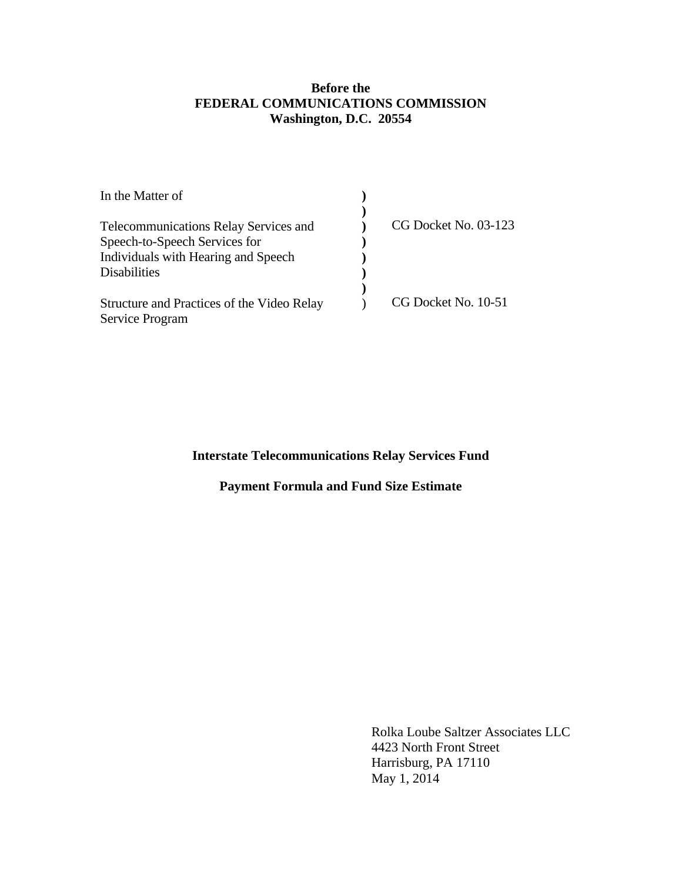## **Before the FEDERAL COMMUNICATIONS COMMISSION Washington, D.C. 20554**

| CG Docket No. 03-123 |
|----------------------|
|                      |
|                      |
|                      |
|                      |
| CG Docket No. 10-51  |
|                      |
|                      |

## **Interstate Telecommunications Relay Services Fund**

## **Payment Formula and Fund Size Estimate**

 Rolka Loube Saltzer Associates LLC 4423 North Front Street Harrisburg, PA 17110 May 1, 2014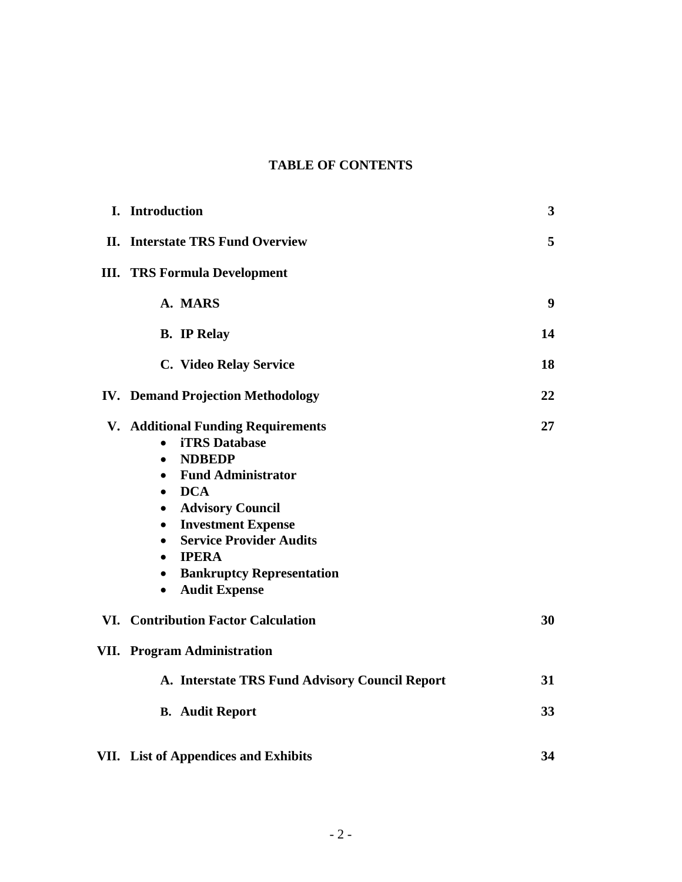## **TABLE OF CONTENTS**

| I. Introduction                                                                                                                                                                                                                                                                                                                                                                                                                | 3                |
|--------------------------------------------------------------------------------------------------------------------------------------------------------------------------------------------------------------------------------------------------------------------------------------------------------------------------------------------------------------------------------------------------------------------------------|------------------|
| <b>II.</b> Interstate TRS Fund Overview                                                                                                                                                                                                                                                                                                                                                                                        | 5                |
| <b>III. TRS Formula Development</b>                                                                                                                                                                                                                                                                                                                                                                                            |                  |
| A. MARS                                                                                                                                                                                                                                                                                                                                                                                                                        | $\boldsymbol{9}$ |
| <b>B.</b> IP Relay                                                                                                                                                                                                                                                                                                                                                                                                             | 14               |
| C. Video Relay Service                                                                                                                                                                                                                                                                                                                                                                                                         | 18               |
| <b>IV. Demand Projection Methodology</b>                                                                                                                                                                                                                                                                                                                                                                                       | 22               |
| V. Additional Funding Requirements<br><b>iTRS</b> Database<br>$\bullet$<br><b>NDBEDP</b><br>$\bullet$<br><b>Fund Administrator</b><br>$\bullet$<br><b>DCA</b><br>$\bullet$<br><b>Advisory Council</b><br>$\bullet$<br><b>Investment Expense</b><br>$\bullet$<br><b>Service Provider Audits</b><br>$\bullet$<br><b>IPERA</b><br>$\bullet$<br><b>Bankruptcy Representation</b><br>$\bullet$<br><b>Audit Expense</b><br>$\bullet$ | 27               |
| VI. Contribution Factor Calculation                                                                                                                                                                                                                                                                                                                                                                                            | 30               |
| <b>VII.</b> Program Administration                                                                                                                                                                                                                                                                                                                                                                                             |                  |
| A. Interstate TRS Fund Advisory Council Report                                                                                                                                                                                                                                                                                                                                                                                 | 31               |
| <b>B.</b> Audit Report                                                                                                                                                                                                                                                                                                                                                                                                         | 33               |
| VII. List of Appendices and Exhibits                                                                                                                                                                                                                                                                                                                                                                                           | 34               |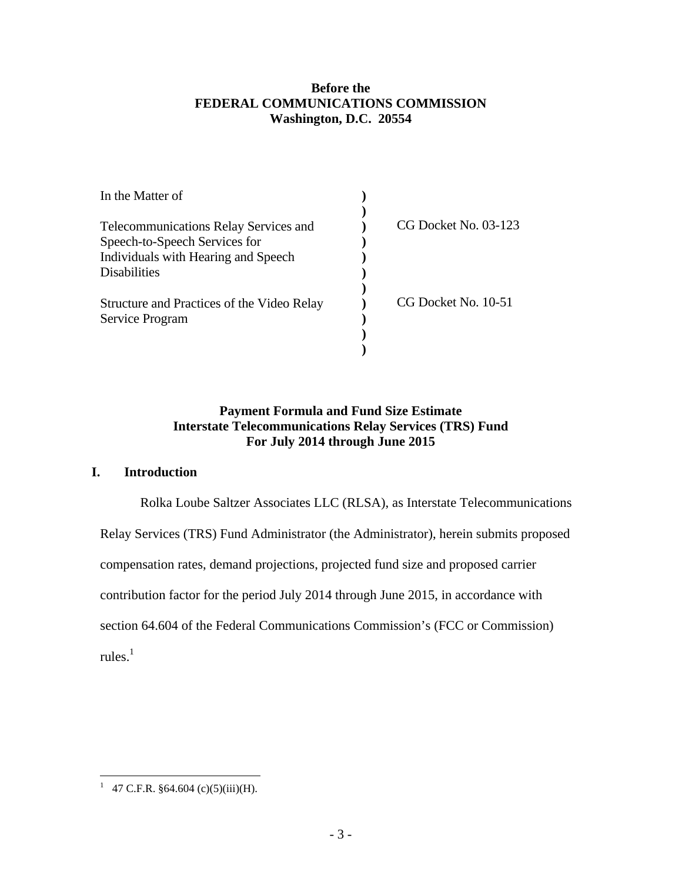## **Before the FEDERAL COMMUNICATIONS COMMISSION Washington, D.C. 20554**

| In the Matter of                             |                      |
|----------------------------------------------|----------------------|
|                                              |                      |
| <b>Telecommunications Relay Services and</b> | CG Docket No. 03-123 |
| Speech-to-Speech Services for                |                      |
| Individuals with Hearing and Speech          |                      |
| <b>Disabilities</b>                          |                      |
| Structure and Practices of the Video Relay   | CG Docket No. 10-51  |
| Service Program                              |                      |
|                                              |                      |
|                                              |                      |

## **Payment Formula and Fund Size Estimate Interstate Telecommunications Relay Services (TRS) Fund For July 2014 through June 2015**

## **I. Introduction**

Rolka Loube Saltzer Associates LLC (RLSA), as Interstate Telecommunications

Relay Services (TRS) Fund Administrator (the Administrator), herein submits proposed

compensation rates, demand projections, projected fund size and proposed carrier

contribution factor for the period July 2014 through June 2015, in accordance with

section 64.604 of the Federal Communications Commission's (FCC or Commission)

rules. $^1$ 

<sup>&</sup>lt;sup>1</sup> 47 C.F.R. §64.604 (c)(5)(iii)(H).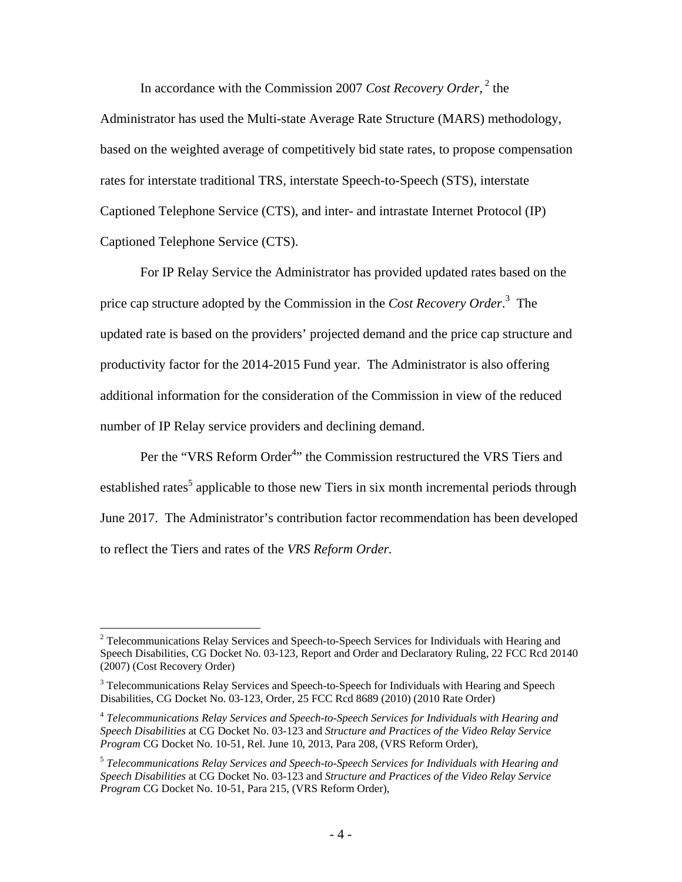In accordance with the Commission 2007 *Cost Recovery Order*,<sup>2</sup> the

Administrator has used the Multi-state Average Rate Structure (MARS) methodology, based on the weighted average of competitively bid state rates, to propose compensation rates for interstate traditional TRS, interstate Speech-to-Speech (STS), interstate Captioned Telephone Service (CTS), and inter- and intrastate Internet Protocol (IP) Captioned Telephone Service (CTS).

For IP Relay Service the Administrator has provided updated rates based on the price cap structure adopted by the Commission in the *Cost Recovery Order*. 3 The updated rate is based on the providers' projected demand and the price cap structure and productivity factor for the 2014-2015 Fund year. The Administrator is also offering additional information for the consideration of the Commission in view of the reduced number of IP Relay service providers and declining demand.

Per the "VRS Reform Order<sup>4</sup>" the Commission restructured the VRS Tiers and established rates<sup>5</sup> applicable to those new Tiers in six month incremental periods through June 2017. The Administrator's contribution factor recommendation has been developed to reflect the Tiers and rates of the *VRS Reform Order.*

 $2$  Telecommunications Relay Services and Speech-to-Speech Services for Individuals with Hearing and Speech Disabilities, CG Docket No. 03-123, Report and Order and Declaratory Ruling, 22 FCC Rcd 20140 (2007) (Cost Recovery Order)

<sup>&</sup>lt;sup>3</sup> Telecommunications Relay Services and Speech-to-Speech for Individuals with Hearing and Speech Disabilities, CG Docket No. 03-123, Order, 25 FCC Rcd 8689 (2010) (2010 Rate Order)

<sup>4</sup> *Telecommunications Relay Services and Speech-to-Speech Services for Individuals with Hearing and Speech Disabilities* at CG Docket No. 03-123 and *Structure and Practices of the Video Relay Service Program* CG Docket No. 10-51, Rel. June 10, 2013, Para 208, (VRS Reform Order),

<sup>5</sup> *Telecommunications Relay Services and Speech-to-Speech Services for Individuals with Hearing and Speech Disabilities* at CG Docket No. 03-123 and *Structure and Practices of the Video Relay Service Program* CG Docket No. 10-51, Para 215, (VRS Reform Order),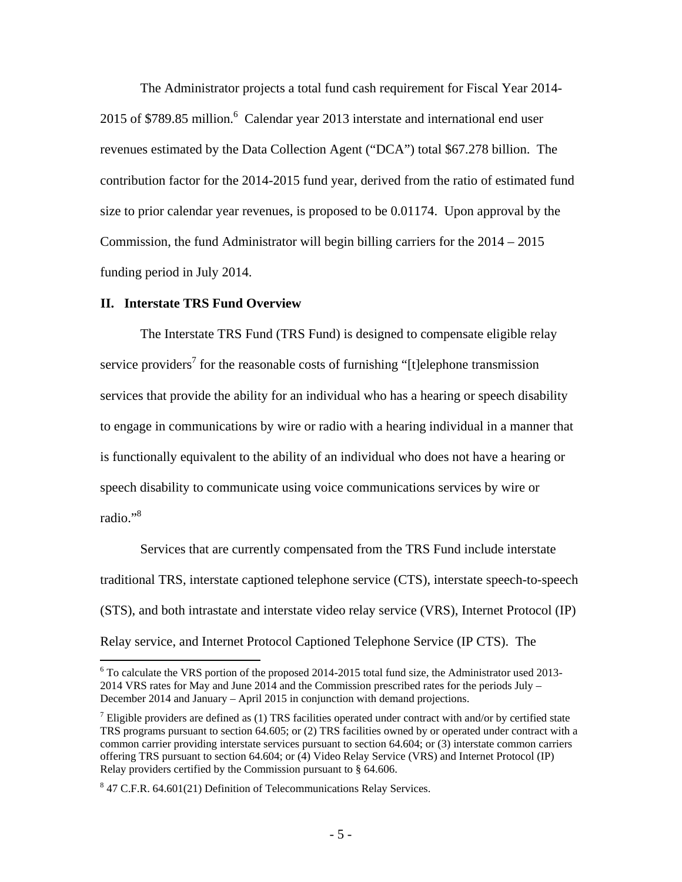The Administrator projects a total fund cash requirement for Fiscal Year 2014- 2015 of \$789.85 million. $6$  Calendar year 2013 interstate and international end user revenues estimated by the Data Collection Agent ("DCA") total \$67.278 billion. The contribution factor for the 2014-2015 fund year, derived from the ratio of estimated fund size to prior calendar year revenues, is proposed to be 0.01174. Upon approval by the Commission, the fund Administrator will begin billing carriers for the 2014 – 2015 funding period in July 2014.

#### **II. Interstate TRS Fund Overview**

1

The Interstate TRS Fund (TRS Fund) is designed to compensate eligible relay service providers<sup>7</sup> for the reasonable costs of furnishing "[t]elephone transmission services that provide the ability for an individual who has a hearing or speech disability to engage in communications by wire or radio with a hearing individual in a manner that is functionally equivalent to the ability of an individual who does not have a hearing or speech disability to communicate using voice communications services by wire or radio."8

Services that are currently compensated from the TRS Fund include interstate traditional TRS, interstate captioned telephone service (CTS), interstate speech-to-speech (STS), and both intrastate and interstate video relay service (VRS), Internet Protocol (IP) Relay service, and Internet Protocol Captioned Telephone Service (IP CTS). The

<sup>&</sup>lt;sup>6</sup> To calculate the VRS portion of the proposed 2014-2015 total fund size, the Administrator used 2013-2014 VRS rates for May and June 2014 and the Commission prescribed rates for the periods July – December 2014 and January – April 2015 in conjunction with demand projections.

<sup>&</sup>lt;sup>7</sup> Eligible providers are defined as (1) TRS facilities operated under contract with and/or by certified state TRS programs pursuant to section 64.605; or (2) TRS facilities owned by or operated under contract with a common carrier providing interstate services pursuant to section 64.604; or (3) interstate common carriers offering TRS pursuant to section 64.604; or (4) Video Relay Service (VRS) and Internet Protocol (IP) Relay providers certified by the Commission pursuant to § 64.606.

<sup>&</sup>lt;sup>8</sup> 47 C.F.R. 64.601(21) Definition of Telecommunications Relay Services.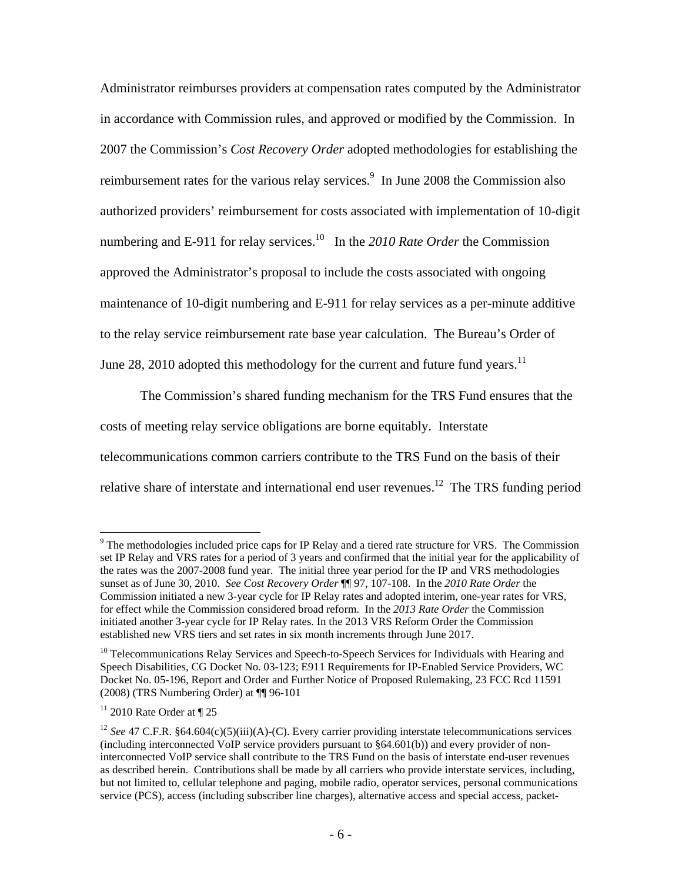Administrator reimburses providers at compensation rates computed by the Administrator in accordance with Commission rules, and approved or modified by the Commission. In 2007 the Commission's *Cost Recovery Order* adopted methodologies for establishing the reimbursement rates for the various relay services.<sup>9</sup> In June 2008 the Commission also authorized providers' reimbursement for costs associated with implementation of 10-digit numbering and E-911 for relay services.<sup>10</sup> In the 2010 Rate Order the Commission approved the Administrator's proposal to include the costs associated with ongoing maintenance of 10-digit numbering and E-911 for relay services as a per-minute additive to the relay service reimbursement rate base year calculation. The Bureau's Order of June 28, 2010 adopted this methodology for the current and future fund years.<sup>11</sup>

The Commission's shared funding mechanism for the TRS Fund ensures that the costs of meeting relay service obligations are borne equitably. Interstate telecommunications common carriers contribute to the TRS Fund on the basis of their relative share of interstate and international end user revenues.<sup>12</sup> The TRS funding period

 $9$  The methodologies included price caps for IP Relay and a tiered rate structure for VRS. The Commission set IP Relay and VRS rates for a period of 3 years and confirmed that the initial year for the applicability of the rates was the 2007-2008 fund year. The initial three year period for the IP and VRS methodologies sunset as of June 30, 2010. *See Cost Recovery Order* ¶¶ 97, 107-108. In the *2010 Rate Order* the Commission initiated a new 3-year cycle for IP Relay rates and adopted interim, one-year rates for VRS, for effect while the Commission considered broad reform. In the *2013 Rate Order* the Commission initiated another 3-year cycle for IP Relay rates. In the 2013 VRS Reform Order the Commission established new VRS tiers and set rates in six month increments through June 2017.

<sup>&</sup>lt;sup>10</sup> Telecommunications Relay Services and Speech-to-Speech Services for Individuals with Hearing and Speech Disabilities, CG Docket No. 03-123; E911 Requirements for IP-Enabled Service Providers, WC Docket No. 05-196, Report and Order and Further Notice of Proposed Rulemaking, 23 FCC Rcd 11591 (2008) (TRS Numbering Order) at ¶¶ 96-101

 $11$  2010 Rate Order at  $\P$  25

<sup>&</sup>lt;sup>12</sup> *See* 47 C.F.R. §64.604(c)(5)(iii)(A)-(C). Every carrier providing interstate telecommunications services (including interconnected VoIP service providers pursuant to §64.601(b)) and every provider of noninterconnected VoIP service shall contribute to the TRS Fund on the basis of interstate end-user revenues as described herein. Contributions shall be made by all carriers who provide interstate services, including, but not limited to, cellular telephone and paging, mobile radio, operator services, personal communications service (PCS), access (including subscriber line charges), alternative access and special access, packet-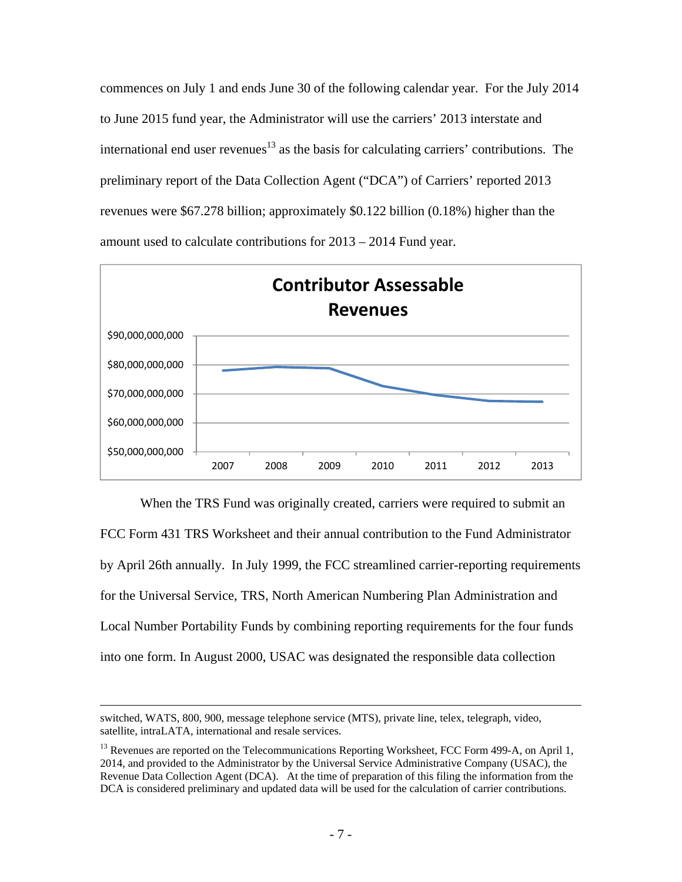commences on July 1 and ends June 30 of the following calendar year. For the July 2014 to June 2015 fund year, the Administrator will use the carriers' 2013 interstate and international end user revenues<sup>13</sup> as the basis for calculating carriers' contributions. The preliminary report of the Data Collection Agent ("DCA") of Carriers' reported 2013 revenues were \$67.278 billion; approximately \$0.122 billion (0.18%) higher than the amount used to calculate contributions for 2013 – 2014 Fund year.



When the TRS Fund was originally created, carriers were required to submit an FCC Form 431 TRS Worksheet and their annual contribution to the Fund Administrator by April 26th annually. In July 1999, the FCC streamlined carrier-reporting requirements for the Universal Service, TRS, North American Numbering Plan Administration and Local Number Portability Funds by combining reporting requirements for the four funds into one form. In August 2000, USAC was designated the responsible data collection

switched, WATS, 800, 900, message telephone service (MTS), private line, telex, telegraph, video, satellite, intraLATA, international and resale services.

<sup>&</sup>lt;sup>13</sup> Revenues are reported on the Telecommunications Reporting Worksheet, FCC Form 499-A, on April 1, 2014, and provided to the Administrator by the Universal Service Administrative Company (USAC), the Revenue Data Collection Agent (DCA). At the time of preparation of this filing the information from the DCA is considered preliminary and updated data will be used for the calculation of carrier contributions.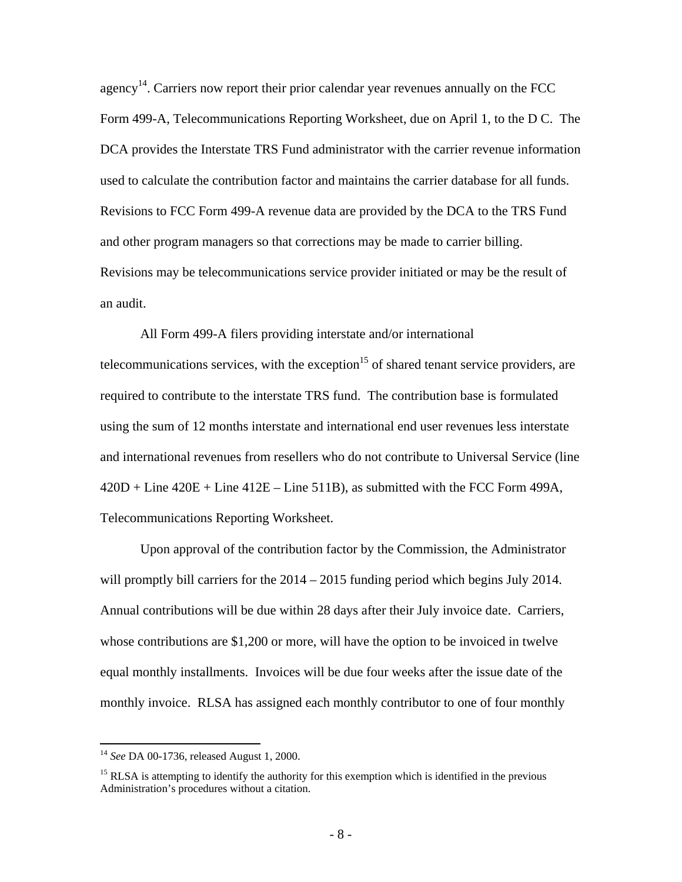agency<sup>14</sup>. Carriers now report their prior calendar year revenues annually on the FCC Form 499-A, Telecommunications Reporting Worksheet, due on April 1, to the D C. The DCA provides the Interstate TRS Fund administrator with the carrier revenue information used to calculate the contribution factor and maintains the carrier database for all funds. Revisions to FCC Form 499-A revenue data are provided by the DCA to the TRS Fund and other program managers so that corrections may be made to carrier billing. Revisions may be telecommunications service provider initiated or may be the result of an audit.

All Form 499-A filers providing interstate and/or international telecommunications services, with the exception<sup>15</sup> of shared tenant service providers, are required to contribute to the interstate TRS fund. The contribution base is formulated using the sum of 12 months interstate and international end user revenues less interstate and international revenues from resellers who do not contribute to Universal Service (line  $420D + Line 420E + Line 412E - Line 511B$ , as submitted with the FCC Form 499A, Telecommunications Reporting Worksheet.

Upon approval of the contribution factor by the Commission, the Administrator will promptly bill carriers for the  $2014 - 2015$  funding period which begins July 2014. Annual contributions will be due within 28 days after their July invoice date. Carriers, whose contributions are \$1,200 or more, will have the option to be invoiced in twelve equal monthly installments. Invoices will be due four weeks after the issue date of the monthly invoice. RLSA has assigned each monthly contributor to one of four monthly

<sup>14</sup> *See* DA 00-1736, released August 1, 2000.

 $15$  RLSA is attempting to identify the authority for this exemption which is identified in the previous Administration's procedures without a citation.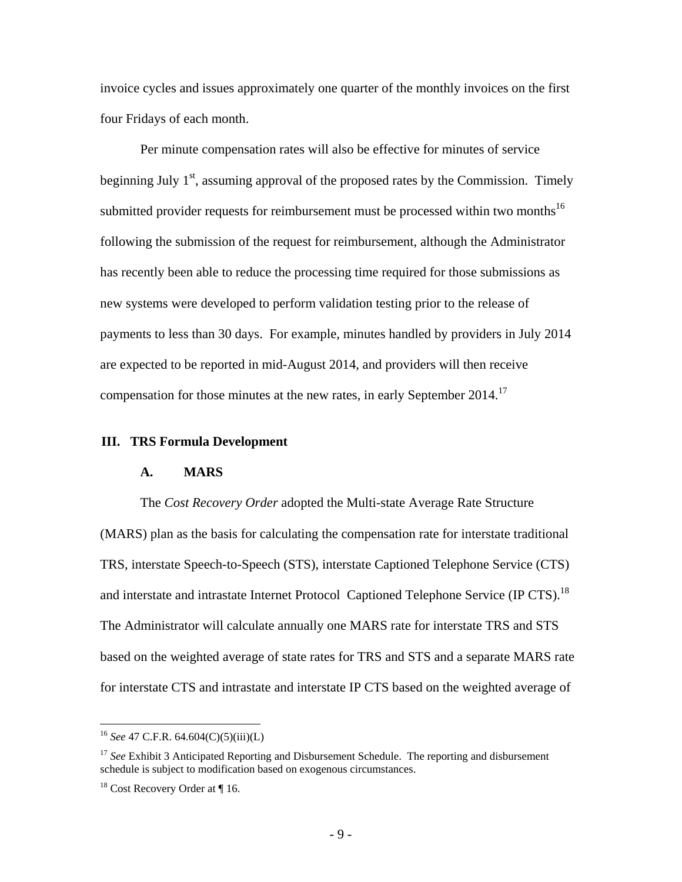invoice cycles and issues approximately one quarter of the monthly invoices on the first four Fridays of each month.

Per minute compensation rates will also be effective for minutes of service beginning July  $1<sup>st</sup>$ , assuming approval of the proposed rates by the Commission. Timely submitted provider requests for reimbursement must be processed within two months<sup>16</sup> following the submission of the request for reimbursement, although the Administrator has recently been able to reduce the processing time required for those submissions as new systems were developed to perform validation testing prior to the release of payments to less than 30 days. For example, minutes handled by providers in July 2014 are expected to be reported in mid-August 2014, and providers will then receive compensation for those minutes at the new rates, in early September 2014.<sup>17</sup>

### **III. TRS Formula Development**

#### **A. MARS**

The *Cost Recovery Order* adopted the Multi-state Average Rate Structure (MARS) plan as the basis for calculating the compensation rate for interstate traditional TRS, interstate Speech-to-Speech (STS), interstate Captioned Telephone Service (CTS) and interstate and intrastate Internet Protocol Captioned Telephone Service (IP CTS).<sup>18</sup> The Administrator will calculate annually one MARS rate for interstate TRS and STS based on the weighted average of state rates for TRS and STS and a separate MARS rate for interstate CTS and intrastate and interstate IP CTS based on the weighted average of

<sup>16</sup> *See* 47 C.F.R. 64.604(C)(5)(iii)(L)

<sup>&</sup>lt;sup>17</sup> *See* Exhibit 3 Anticipated Reporting and Disbursement Schedule. The reporting and disbursement schedule is subject to modification based on exogenous circumstances.

 $18$  Cost Recovery Order at ¶ 16.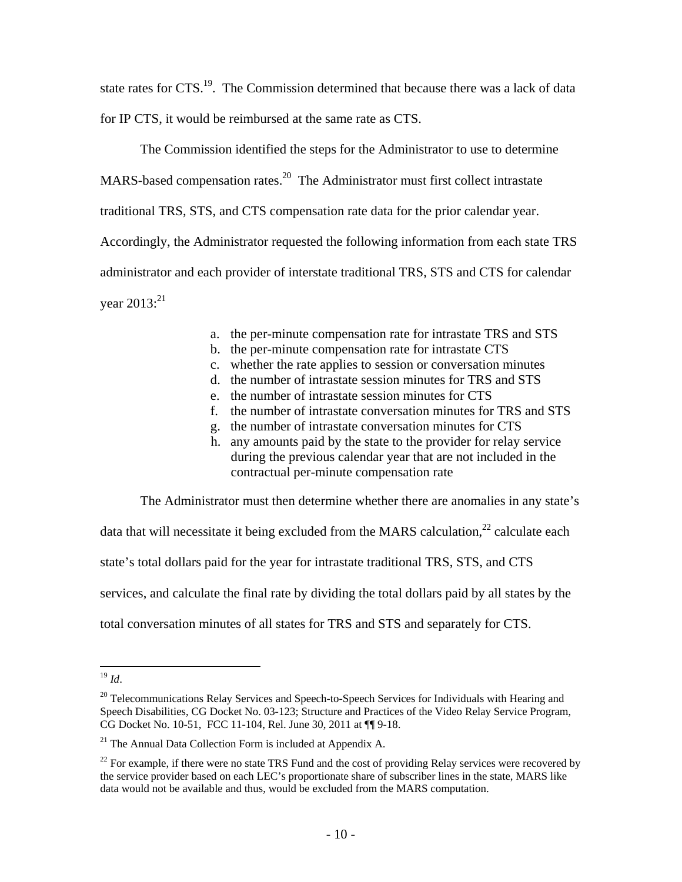state rates for CTS.<sup>19</sup>. The Commission determined that because there was a lack of data for IP CTS, it would be reimbursed at the same rate as CTS.

The Commission identified the steps for the Administrator to use to determine MARS-based compensation rates.<sup>20</sup> The Administrator must first collect intrastate traditional TRS, STS, and CTS compensation rate data for the prior calendar year. Accordingly, the Administrator requested the following information from each state TRS administrator and each provider of interstate traditional TRS, STS and CTS for calendar vear  $2013$ <sup>21</sup>

- a. the per-minute compensation rate for intrastate TRS and STS
- b. the per-minute compensation rate for intrastate CTS
- c. whether the rate applies to session or conversation minutes
- d. the number of intrastate session minutes for TRS and STS
- e. the number of intrastate session minutes for CTS
- f. the number of intrastate conversation minutes for TRS and STS
- g. the number of intrastate conversation minutes for CTS
- h. any amounts paid by the state to the provider for relay service during the previous calendar year that are not included in the contractual per-minute compensation rate

The Administrator must then determine whether there are anomalies in any state's

data that will necessitate it being excluded from the MARS calculation, $^{22}$  calculate each state's total dollars paid for the year for intrastate traditional TRS, STS, and CTS services, and calculate the final rate by dividing the total dollars paid by all states by the total conversation minutes of all states for TRS and STS and separately for CTS.

<sup>19</sup> *Id*.

 $20$  Telecommunications Relay Services and Speech-to-Speech Services for Individuals with Hearing and Speech Disabilities, CG Docket No. 03-123; Structure and Practices of the Video Relay Service Program, CG Docket No. 10-51, FCC 11-104, Rel. June 30, 2011 at ¶¶ 9-18.

<sup>&</sup>lt;sup>21</sup> The Annual Data Collection Form is included at Appendix A.

 $22$  For example, if there were no state TRS Fund and the cost of providing Relay services were recovered by the service provider based on each LEC's proportionate share of subscriber lines in the state, MARS like data would not be available and thus, would be excluded from the MARS computation.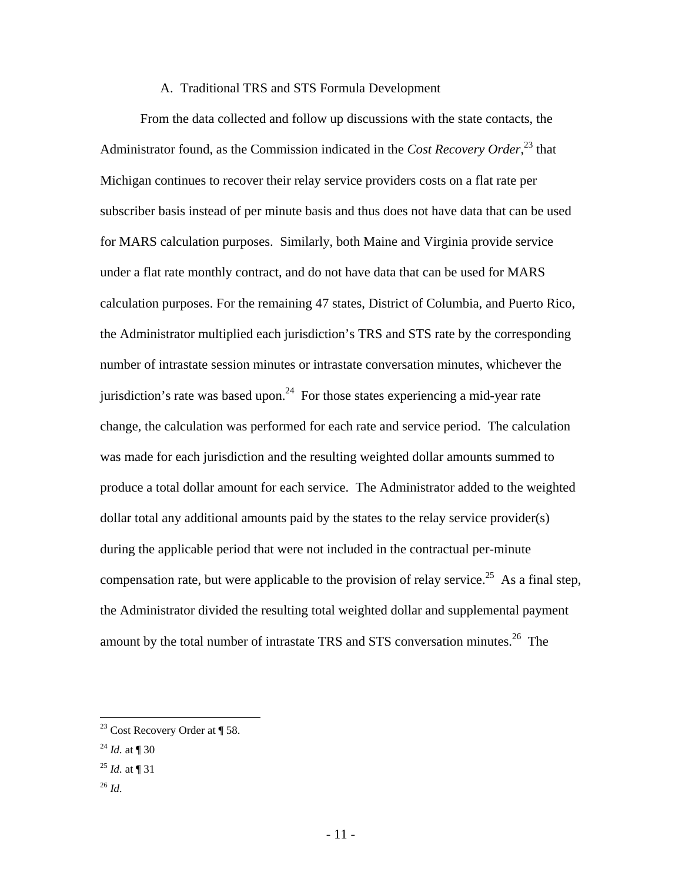#### A. Traditional TRS and STS Formula Development

From the data collected and follow up discussions with the state contacts, the Administrator found, as the Commission indicated in the *Cost Recovery Order*, 23 that Michigan continues to recover their relay service providers costs on a flat rate per subscriber basis instead of per minute basis and thus does not have data that can be used for MARS calculation purposes. Similarly, both Maine and Virginia provide service under a flat rate monthly contract, and do not have data that can be used for MARS calculation purposes. For the remaining 47 states, District of Columbia, and Puerto Rico, the Administrator multiplied each jurisdiction's TRS and STS rate by the corresponding number of intrastate session minutes or intrastate conversation minutes, whichever the jurisdiction's rate was based upon.<sup>24</sup> For those states experiencing a mid-year rate change, the calculation was performed for each rate and service period. The calculation was made for each jurisdiction and the resulting weighted dollar amounts summed to produce a total dollar amount for each service. The Administrator added to the weighted dollar total any additional amounts paid by the states to the relay service provider(s) during the applicable period that were not included in the contractual per-minute compensation rate, but were applicable to the provision of relay service.<sup>25</sup> As a final step, the Administrator divided the resulting total weighted dollar and supplemental payment amount by the total number of intrastate TRS and STS conversation minutes.<sup>26</sup> The

- $^{25}$  *Id.* at ¶ 31
- <sup>26</sup> *Id.*

<sup>&</sup>lt;sup>23</sup> Cost Recovery Order at  $\P$  58.

 $^{24}$  *Id.* at ¶ 30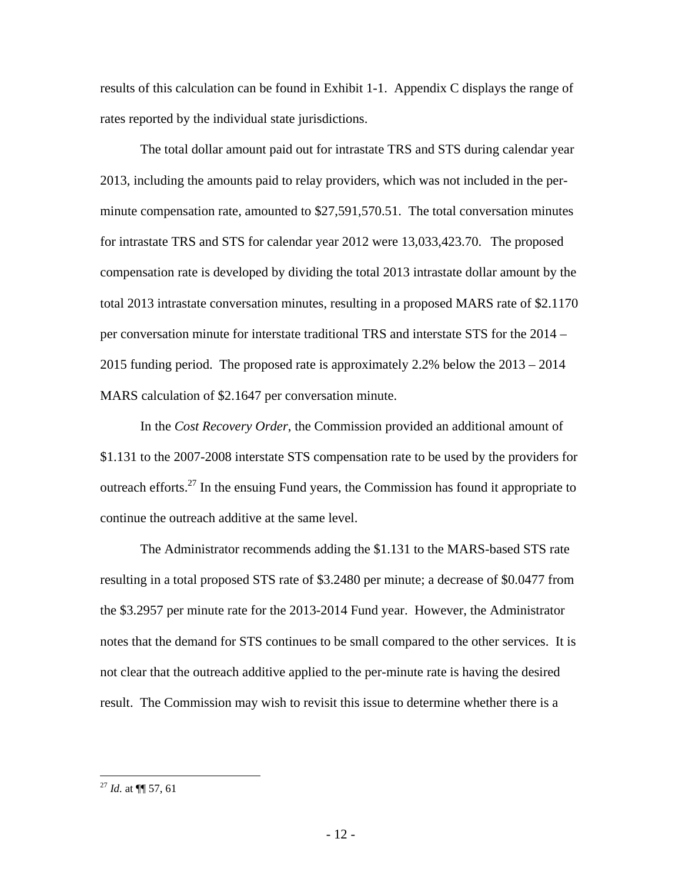results of this calculation can be found in Exhibit 1-1. Appendix C displays the range of rates reported by the individual state jurisdictions.

The total dollar amount paid out for intrastate TRS and STS during calendar year 2013, including the amounts paid to relay providers, which was not included in the perminute compensation rate, amounted to \$27,591,570.51. The total conversation minutes for intrastate TRS and STS for calendar year 2012 were 13,033,423.70. The proposed compensation rate is developed by dividing the total 2013 intrastate dollar amount by the total 2013 intrastate conversation minutes, resulting in a proposed MARS rate of \$2.1170 per conversation minute for interstate traditional TRS and interstate STS for the 2014 – 2015 funding period. The proposed rate is approximately 2.2% below the 2013 – 2014 MARS calculation of \$2.1647 per conversation minute.

In the *Cost Recovery Order*, the Commission provided an additional amount of \$1.131 to the 2007-2008 interstate STS compensation rate to be used by the providers for outreach efforts. $27$  In the ensuing Fund years, the Commission has found it appropriate to continue the outreach additive at the same level.

The Administrator recommends adding the \$1.131 to the MARS-based STS rate resulting in a total proposed STS rate of \$3.2480 per minute; a decrease of \$0.0477 from the \$3.2957 per minute rate for the 2013-2014 Fund year. However, the Administrator notes that the demand for STS continues to be small compared to the other services. It is not clear that the outreach additive applied to the per-minute rate is having the desired result. The Commission may wish to revisit this issue to determine whether there is a

<sup>27</sup> *Id.* at ¶¶ 57, 61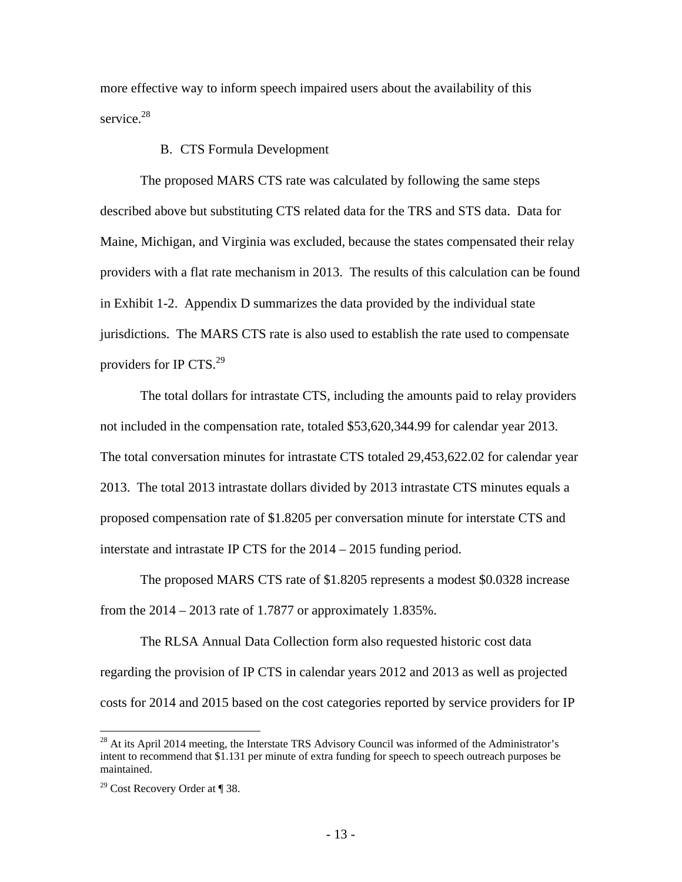more effective way to inform speech impaired users about the availability of this service.<sup>28</sup>

#### B. CTS Formula Development

The proposed MARS CTS rate was calculated by following the same steps described above but substituting CTS related data for the TRS and STS data. Data for Maine, Michigan, and Virginia was excluded, because the states compensated their relay providers with a flat rate mechanism in 2013. The results of this calculation can be found in Exhibit 1-2. Appendix D summarizes the data provided by the individual state jurisdictions. The MARS CTS rate is also used to establish the rate used to compensate providers for IP CTS.<sup>29</sup>

The total dollars for intrastate CTS, including the amounts paid to relay providers not included in the compensation rate, totaled \$53,620,344.99 for calendar year 2013. The total conversation minutes for intrastate CTS totaled 29,453,622.02 for calendar year 2013. The total 2013 intrastate dollars divided by 2013 intrastate CTS minutes equals a proposed compensation rate of \$1.8205 per conversation minute for interstate CTS and interstate and intrastate IP CTS for the 2014 – 2015 funding period.

The proposed MARS CTS rate of \$1.8205 represents a modest \$0.0328 increase from the  $2014 - 2013$  rate of 1.7877 or approximately 1.835%.

The RLSA Annual Data Collection form also requested historic cost data regarding the provision of IP CTS in calendar years 2012 and 2013 as well as projected costs for 2014 and 2015 based on the cost categories reported by service providers for IP

<u>.</u>

 $^{28}$  At its April 2014 meeting, the Interstate TRS Advisory Council was informed of the Administrator's intent to recommend that \$1.131 per minute of extra funding for speech to speech outreach purposes be maintained.

<sup>&</sup>lt;sup>29</sup> Cost Recovery Order at  $\P$  38.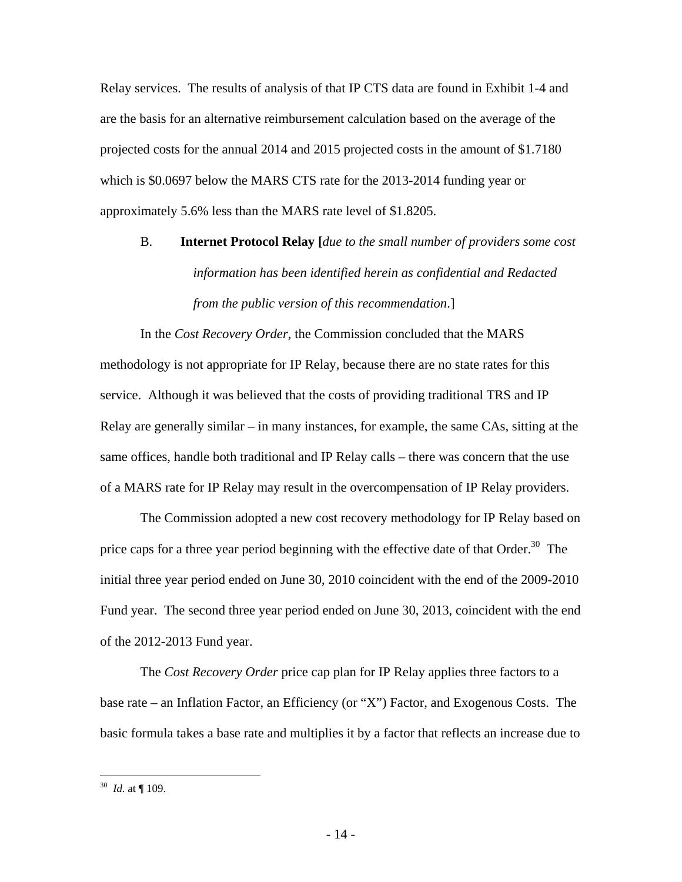Relay services. The results of analysis of that IP CTS data are found in Exhibit 1-4 and are the basis for an alternative reimbursement calculation based on the average of the projected costs for the annual 2014 and 2015 projected costs in the amount of \$1.7180 which is \$0.0697 below the MARS CTS rate for the 2013-2014 funding year or approximately 5.6% less than the MARS rate level of \$1.8205.

# B. **Internet Protocol Relay [***due to the small number of providers some cost information has been identified herein as confidential and Redacted from the public version of this recommendation*.]

In the *Cost Recovery Order*, the Commission concluded that the MARS methodology is not appropriate for IP Relay, because there are no state rates for this service. Although it was believed that the costs of providing traditional TRS and IP Relay are generally similar – in many instances, for example, the same CAs, sitting at the same offices, handle both traditional and IP Relay calls – there was concern that the use of a MARS rate for IP Relay may result in the overcompensation of IP Relay providers.

The Commission adopted a new cost recovery methodology for IP Relay based on price caps for a three year period beginning with the effective date of that Order.<sup>30</sup> The initial three year period ended on June 30, 2010 coincident with the end of the 2009-2010 Fund year. The second three year period ended on June 30, 2013, coincident with the end of the 2012-2013 Fund year.

The *Cost Recovery Order* price cap plan for IP Relay applies three factors to a base rate – an Inflation Factor, an Efficiency (or "X") Factor, and Exogenous Costs. The basic formula takes a base rate and multiplies it by a factor that reflects an increase due to

<sup>30</sup> *Id.* at ¶ 109.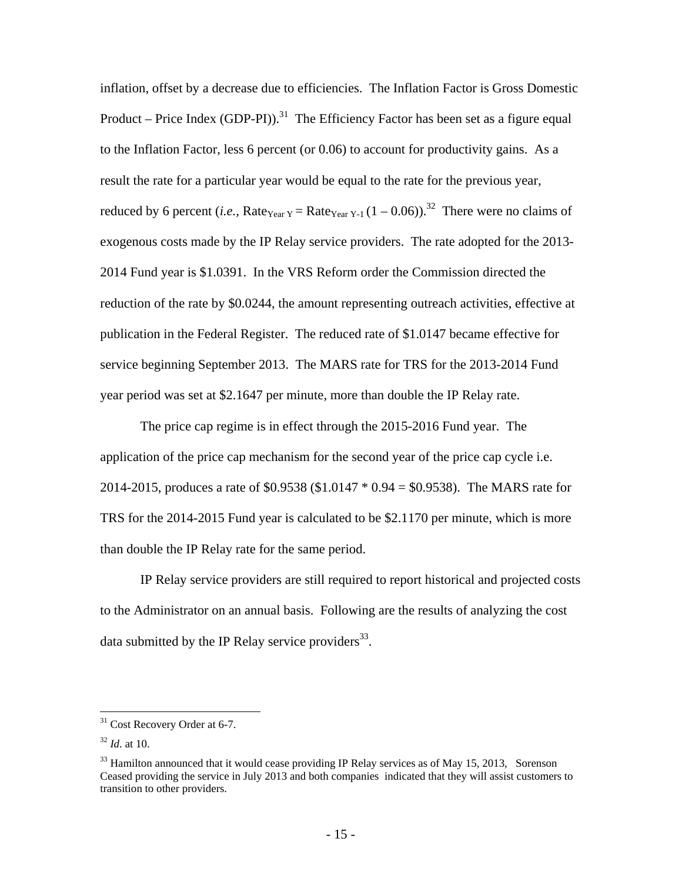inflation, offset by a decrease due to efficiencies. The Inflation Factor is Gross Domestic Product – Price Index (GDP-PI)).<sup>31</sup> The Efficiency Factor has been set as a figure equal to the Inflation Factor, less 6 percent (or 0.06) to account for productivity gains. As a result the rate for a particular year would be equal to the rate for the previous year, reduced by 6 percent (*i.e.*, Rate<sub>Year Y</sub> = Rate<sub>Year Y-1</sub>  $(1 - 0.06)$ ).<sup>32</sup> There were no claims of exogenous costs made by the IP Relay service providers. The rate adopted for the 2013- 2014 Fund year is \$1.0391. In the VRS Reform order the Commission directed the reduction of the rate by \$0.0244, the amount representing outreach activities, effective at publication in the Federal Register. The reduced rate of \$1.0147 became effective for service beginning September 2013. The MARS rate for TRS for the 2013-2014 Fund year period was set at \$2.1647 per minute, more than double the IP Relay rate.

The price cap regime is in effect through the 2015-2016 Fund year. The application of the price cap mechanism for the second year of the price cap cycle i.e. 2014-2015, produces a rate of \$0.9538 (\$1.0147 \* 0.94 = \$0.9538). The MARS rate for TRS for the 2014-2015 Fund year is calculated to be \$2.1170 per minute, which is more than double the IP Relay rate for the same period.

IP Relay service providers are still required to report historical and projected costs to the Administrator on an annual basis. Following are the results of analyzing the cost data submitted by the IP Relay service providers $^{33}$ .

<sup>&</sup>lt;sup>31</sup> Cost Recovery Order at 6-7.

 $32$  *Id.* at 10.

 $33$  Hamilton announced that it would cease providing IP Relay services as of May 15, 2013, Sorenson Ceased providing the service in July 2013 and both companies indicated that they will assist customers to transition to other providers.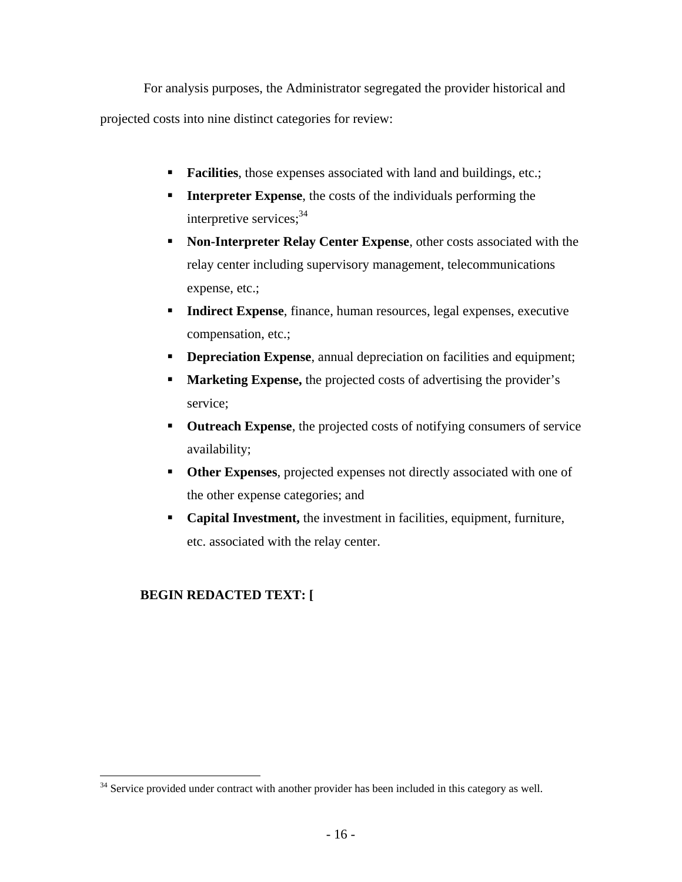For analysis purposes, the Administrator segregated the provider historical and projected costs into nine distinct categories for review:

- **Facilities**, those expenses associated with land and buildings, etc.;
- **Interpreter Expense**, the costs of the individuals performing the interpretive services;  $34$
- **Non-Interpreter Relay Center Expense**, other costs associated with the relay center including supervisory management, telecommunications expense, etc.;
- **Indirect Expense**, finance, human resources, legal expenses, executive compensation, etc.;
- **Depreciation Expense**, annual depreciation on facilities and equipment;
- **Marketing Expense,** the projected costs of advertising the provider's service;
- **Outreach Expense**, the projected costs of notifying consumers of service availability;
- **Other Expenses**, projected expenses not directly associated with one of the other expense categories; and
- **Capital Investment,** the investment in facilities, equipment, furniture, etc. associated with the relay center.

## **BEGIN REDACTED TEXT: [**

 $\overline{a}$ <sup>34</sup> Service provided under contract with another provider has been included in this category as well.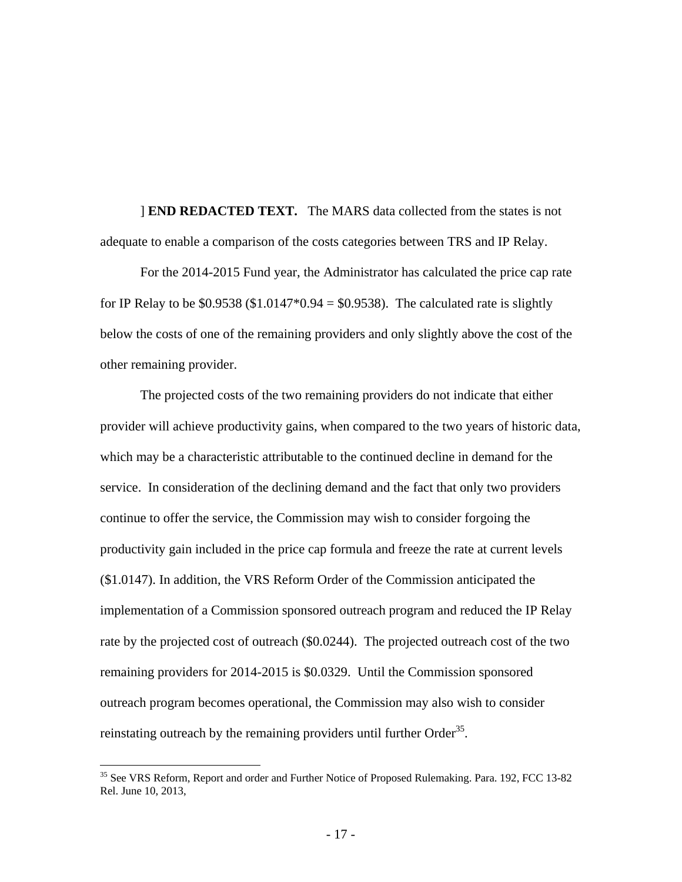] **END REDACTED TEXT.** The MARS data collected from the states is not adequate to enable a comparison of the costs categories between TRS and IP Relay.

For the 2014-2015 Fund year, the Administrator has calculated the price cap rate for IP Relay to be  $$0.9538 ($1.0147*0.94 = $0.9538)$ . The calculated rate is slightly below the costs of one of the remaining providers and only slightly above the cost of the other remaining provider.

The projected costs of the two remaining providers do not indicate that either provider will achieve productivity gains, when compared to the two years of historic data, which may be a characteristic attributable to the continued decline in demand for the service. In consideration of the declining demand and the fact that only two providers continue to offer the service, the Commission may wish to consider forgoing the productivity gain included in the price cap formula and freeze the rate at current levels (\$1.0147). In addition, the VRS Reform Order of the Commission anticipated the implementation of a Commission sponsored outreach program and reduced the IP Relay rate by the projected cost of outreach (\$0.0244). The projected outreach cost of the two remaining providers for 2014-2015 is \$0.0329. Until the Commission sponsored outreach program becomes operational, the Commission may also wish to consider reinstating outreach by the remaining providers until further  $Order<sup>35</sup>$ .

<sup>&</sup>lt;sup>35</sup> See VRS Reform, Report and order and Further Notice of Proposed Rulemaking. Para. 192, FCC 13-82 Rel. June 10, 2013,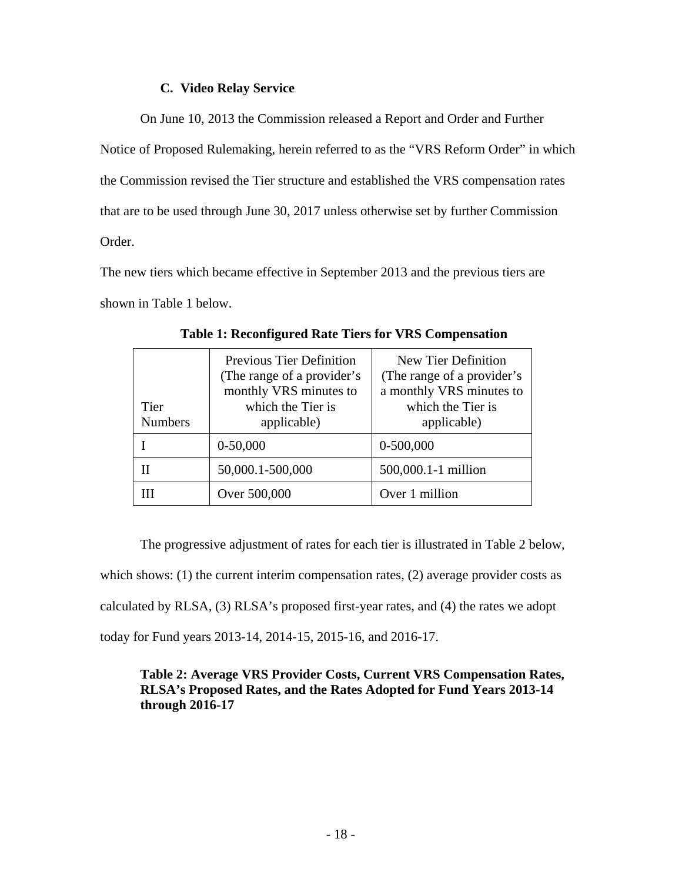## **C. Video Relay Service**

On June 10, 2013 the Commission released a Report and Order and Further Notice of Proposed Rulemaking, herein referred to as the "VRS Reform Order" in which the Commission revised the Tier structure and established the VRS compensation rates that are to be used through June 30, 2017 unless otherwise set by further Commission Order.

The new tiers which became effective in September 2013 and the previous tiers are shown in Table 1 below.

| Tier<br><b>Numbers</b> | <b>Previous Tier Definition</b><br>(The range of a provider's<br>monthly VRS minutes to<br>which the Tier is<br>applicable) | New Tier Definition<br>(The range of a provider's<br>a monthly VRS minutes to<br>which the Tier is<br>applicable) |
|------------------------|-----------------------------------------------------------------------------------------------------------------------------|-------------------------------------------------------------------------------------------------------------------|
|                        | $0-50,000$                                                                                                                  | $0-500,000$                                                                                                       |
|                        | 50,000.1-500,000                                                                                                            | 500,000.1-1 million                                                                                               |
|                        | Over 500,000                                                                                                                | Over 1 million                                                                                                    |

**Table 1: Reconfigured Rate Tiers for VRS Compensation** 

The progressive adjustment of rates for each tier is illustrated in Table 2 below, which shows: (1) the current interim compensation rates, (2) average provider costs as calculated by RLSA, (3) RLSA's proposed first-year rates, and (4) the rates we adopt today for Fund years 2013-14, 2014-15, 2015-16, and 2016-17.

## **Table 2: Average VRS Provider Costs, Current VRS Compensation Rates, RLSA's Proposed Rates, and the Rates Adopted for Fund Years 2013-14 through 2016-17**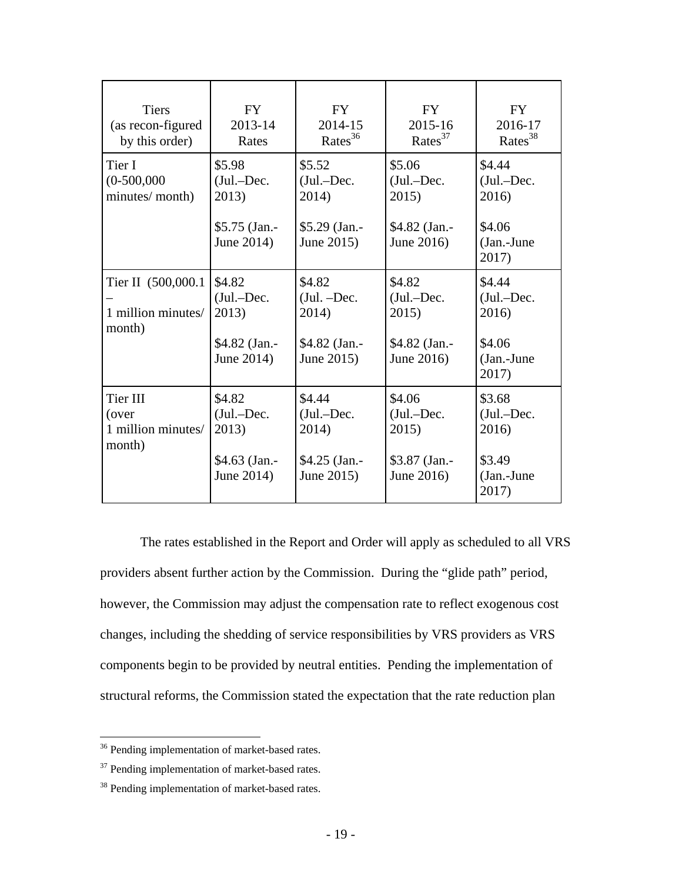| <b>Tiers</b><br>(as recon-figured<br>by this order) | <b>FY</b><br>2013-14<br>Rates                                   | <b>FY</b><br>2014-15<br>Rates <sup>36</sup>                      | <b>FY</b><br>2015-16<br>Rates <sup>37</sup>                    | <b>FY</b><br>2016-17<br>Rates <sup>38</sup>                        |
|-----------------------------------------------------|-----------------------------------------------------------------|------------------------------------------------------------------|----------------------------------------------------------------|--------------------------------------------------------------------|
| Tier I<br>$(0-500,000)$<br>minutes/month)           | \$5.98<br>$(Jul.-Dec.$<br>2013)<br>\$5.75 (Jan.-<br>June 2014)  | \$5.52<br>$(Jul.-Dec.$<br>2014)<br>\$5.29 (Jan.-<br>June 2015)   | \$5.06<br>$(Jul.-Dec.$<br>2015)<br>\$4.82 (Jan.-<br>June 2016) | \$4.44<br>$(Jul.-Dec.$<br>2016)<br>\$4.06<br>(Jan.-June<br>2017)   |
| Tier II (500,000.1)<br>1 million minutes/<br>month) | \$4.82<br>$(Jul.-Dec.$<br>2013)<br>\$4.82 (Jan.-<br>June 2014)  | \$4.82<br>$(Jul. - Dec.$<br>2014)<br>\$4.82 (Jan.-<br>June 2015) | \$4.82<br>$(Jul.-Dec.$<br>2015)<br>\$4.82 (Jan.-<br>June 2016) | \$4.44<br>$(Jul.-Dec.$<br>2016)<br>\$4.06<br>$(Jan.-June$<br>2017) |
| Tier III<br>(over<br>1 million minutes/<br>month)   | \$4.82<br>$(Jul.-Dec.$<br>2013)<br>$$4.63$ (Jan.-<br>June 2014) | \$4.44<br>(Jul.-Dec.<br>2014)<br>\$4.25 (Jan.-<br>June 2015)     | \$4.06<br>$(Jul.-Dec.$<br>2015)<br>\$3.87 (Jan.-<br>June 2016) | \$3.68<br>$(Jul.-Dec.$<br>2016)<br>\$3.49<br>$(Jan.-June$<br>2017) |

The rates established in the Report and Order will apply as scheduled to all VRS providers absent further action by the Commission. During the "glide path" period, however, the Commission may adjust the compensation rate to reflect exogenous cost changes, including the shedding of service responsibilities by VRS providers as VRS components begin to be provided by neutral entities. Pending the implementation of structural reforms, the Commission stated the expectation that the rate reduction plan

1

<sup>&</sup>lt;sup>36</sup> Pending implementation of market-based rates.

<sup>&</sup>lt;sup>37</sup> Pending implementation of market-based rates.

<sup>&</sup>lt;sup>38</sup> Pending implementation of market-based rates.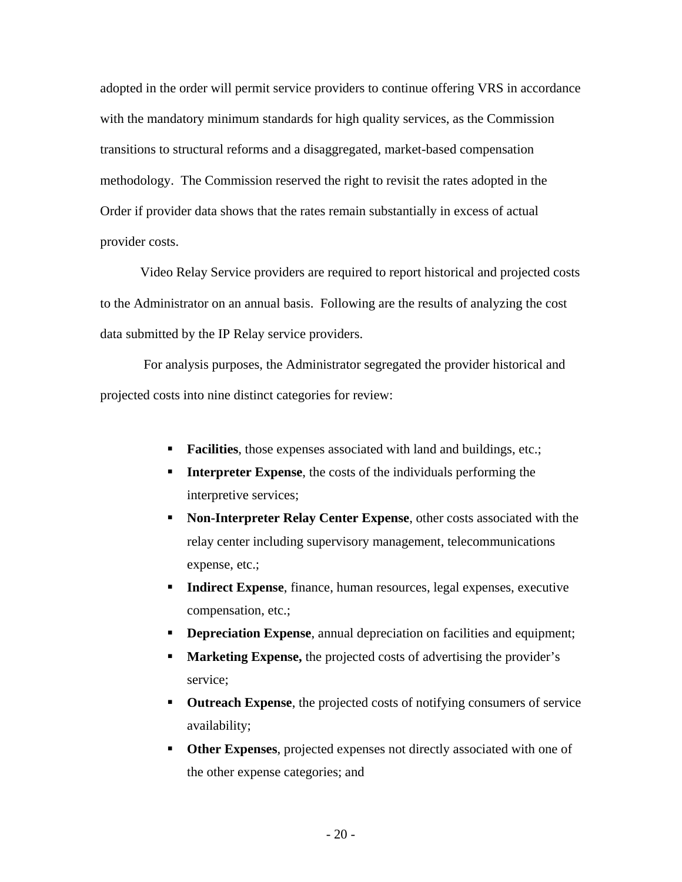adopted in the order will permit service providers to continue offering VRS in accordance with the mandatory minimum standards for high quality services, as the Commission transitions to structural reforms and a disaggregated, market-based compensation methodology. The Commission reserved the right to revisit the rates adopted in the Order if provider data shows that the rates remain substantially in excess of actual provider costs.

Video Relay Service providers are required to report historical and projected costs to the Administrator on an annual basis. Following are the results of analyzing the cost data submitted by the IP Relay service providers.

 For analysis purposes, the Administrator segregated the provider historical and projected costs into nine distinct categories for review:

- **Facilities**, those expenses associated with land and buildings, etc.;
- **Interpreter Expense**, the costs of the individuals performing the interpretive services;
- **Non-Interpreter Relay Center Expense**, other costs associated with the relay center including supervisory management, telecommunications expense, etc.;
- **Indirect Expense**, finance, human resources, legal expenses, executive compensation, etc.;
- **Depreciation Expense**, annual depreciation on facilities and equipment;
- **Marketing Expense,** the projected costs of advertising the provider's service;
- **Outreach Expense**, the projected costs of notifying consumers of service availability;
- **Other Expenses**, projected expenses not directly associated with one of the other expense categories; and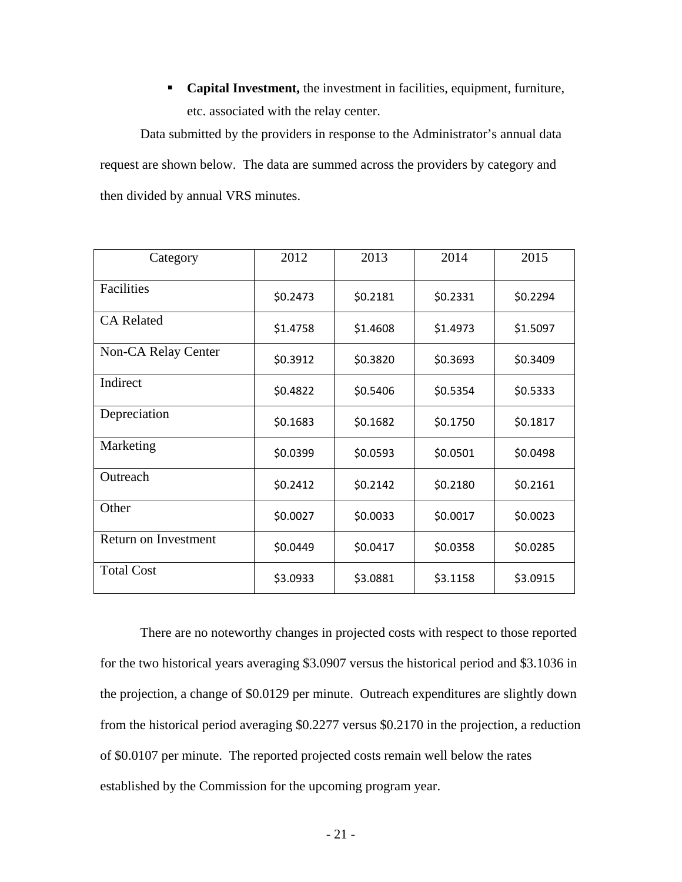**Capital Investment,** the investment in facilities, equipment, furniture, etc. associated with the relay center.

Data submitted by the providers in response to the Administrator's annual data request are shown below. The data are summed across the providers by category and then divided by annual VRS minutes.

| Category             | 2012     | 2013     | 2014     | 2015     |
|----------------------|----------|----------|----------|----------|
| Facilities           | \$0.2473 | \$0.2181 | \$0.2331 | \$0.2294 |
| <b>CA Related</b>    | \$1.4758 | \$1.4608 | \$1.4973 | \$1.5097 |
| Non-CA Relay Center  | \$0.3912 | \$0.3820 | \$0.3693 | \$0.3409 |
| Indirect             | \$0.4822 | \$0.5406 | \$0.5354 | \$0.5333 |
| Depreciation         | \$0.1683 | \$0.1682 | \$0.1750 | \$0.1817 |
| Marketing            | \$0.0399 | \$0.0593 | \$0.0501 | \$0.0498 |
| Outreach             | \$0.2412 | \$0.2142 | \$0.2180 | \$0.2161 |
| Other                | \$0.0027 | \$0.0033 | \$0.0017 | \$0.0023 |
| Return on Investment | \$0.0449 | \$0.0417 | \$0.0358 | \$0.0285 |
| <b>Total Cost</b>    | \$3.0933 | \$3.0881 | \$3.1158 | \$3.0915 |

There are no noteworthy changes in projected costs with respect to those reported for the two historical years averaging \$3.0907 versus the historical period and \$3.1036 in the projection, a change of \$0.0129 per minute. Outreach expenditures are slightly down from the historical period averaging \$0.2277 versus \$0.2170 in the projection, a reduction of \$0.0107 per minute. The reported projected costs remain well below the rates established by the Commission for the upcoming program year.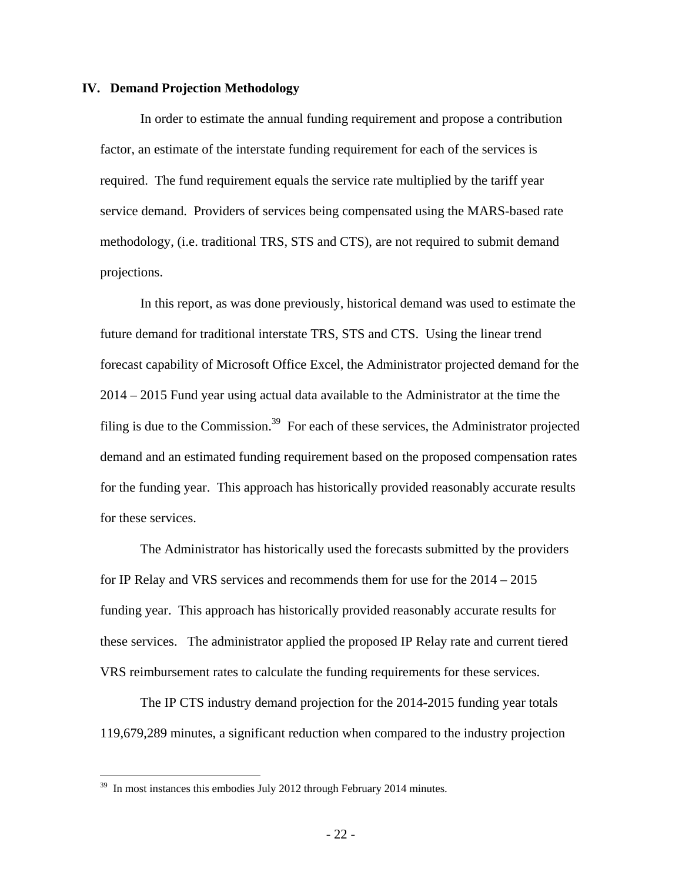#### **IV. Demand Projection Methodology**

In order to estimate the annual funding requirement and propose a contribution factor, an estimate of the interstate funding requirement for each of the services is required. The fund requirement equals the service rate multiplied by the tariff year service demand. Providers of services being compensated using the MARS-based rate methodology, (i.e. traditional TRS, STS and CTS), are not required to submit demand projections.

In this report, as was done previously, historical demand was used to estimate the future demand for traditional interstate TRS, STS and CTS. Using the linear trend forecast capability of Microsoft Office Excel, the Administrator projected demand for the 2014 – 2015 Fund year using actual data available to the Administrator at the time the filing is due to the Commission.<sup>39</sup> For each of these services, the Administrator projected demand and an estimated funding requirement based on the proposed compensation rates for the funding year. This approach has historically provided reasonably accurate results for these services.

The Administrator has historically used the forecasts submitted by the providers for IP Relay and VRS services and recommends them for use for the 2014 – 2015 funding year. This approach has historically provided reasonably accurate results for these services. The administrator applied the proposed IP Relay rate and current tiered VRS reimbursement rates to calculate the funding requirements for these services.

The IP CTS industry demand projection for the 2014-2015 funding year totals 119,679,289 minutes, a significant reduction when compared to the industry projection

<u>.</u>

<sup>&</sup>lt;sup>39</sup> In most instances this embodies July 2012 through February 2014 minutes.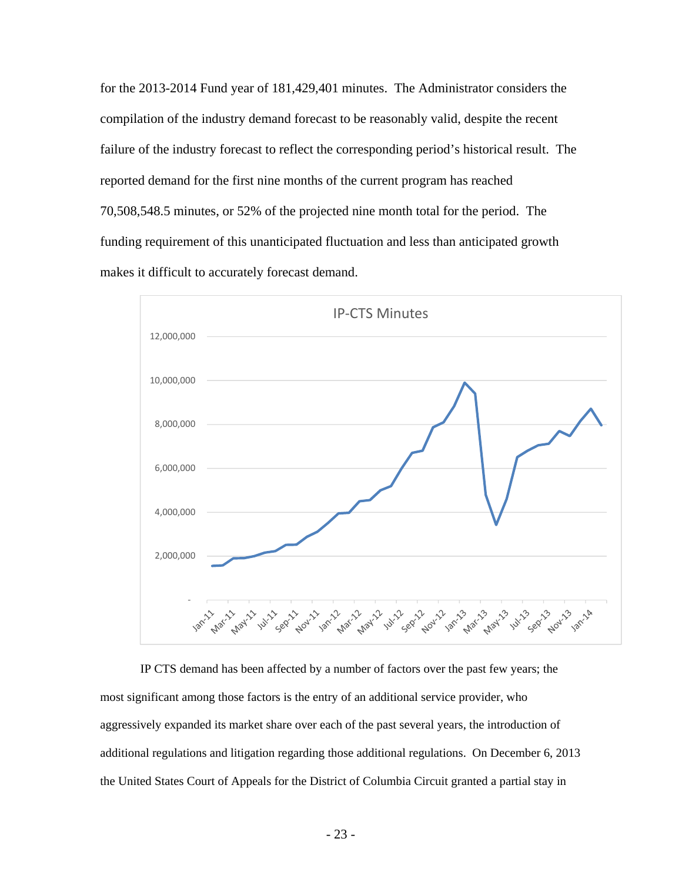for the 2013-2014 Fund year of 181,429,401 minutes. The Administrator considers the compilation of the industry demand forecast to be reasonably valid, despite the recent failure of the industry forecast to reflect the corresponding period's historical result. The reported demand for the first nine months of the current program has reached 70,508,548.5 minutes, or 52% of the projected nine month total for the period. The funding requirement of this unanticipated fluctuation and less than anticipated growth makes it difficult to accurately forecast demand.



IP CTS demand has been affected by a number of factors over the past few years; the most significant among those factors is the entry of an additional service provider, who aggressively expanded its market share over each of the past several years, the introduction of additional regulations and litigation regarding those additional regulations. On December 6, 2013 the United States Court of Appeals for the District of Columbia Circuit granted a partial stay in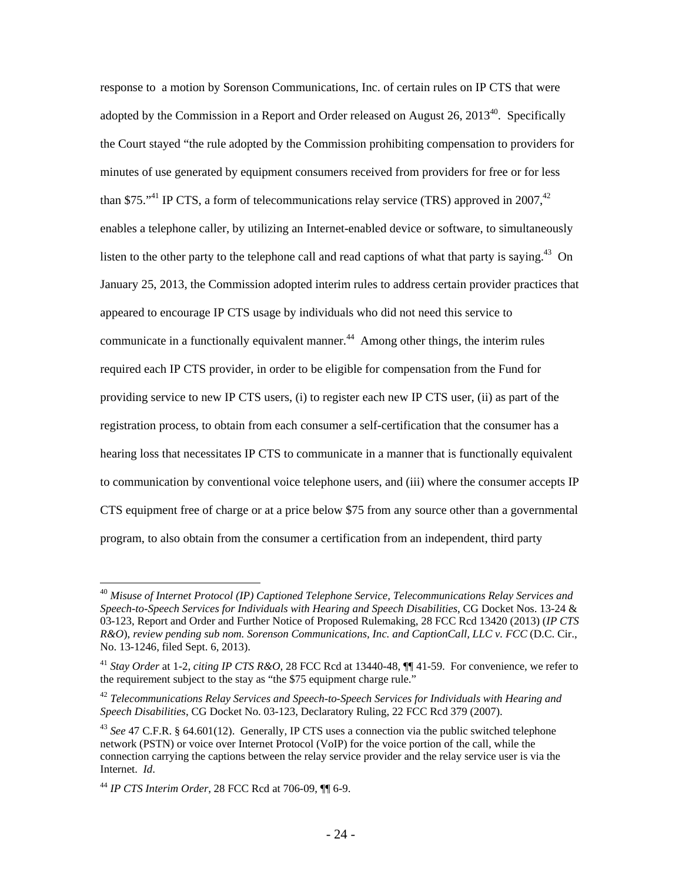response to a motion by Sorenson Communications, Inc. of certain rules on IP CTS that were adopted by the Commission in a Report and Order released on August 26, 2013<sup>40</sup>. Specifically the Court stayed "the rule adopted by the Commission prohibiting compensation to providers for minutes of use generated by equipment consumers received from providers for free or for less than \$75. $14$ <sup>1</sup> IP CTS, a form of telecommunications relay service (TRS) approved in 2007.<sup>42</sup> enables a telephone caller, by utilizing an Internet-enabled device or software, to simultaneously listen to the other party to the telephone call and read captions of what that party is saying.<sup>43</sup> On January 25, 2013, the Commission adopted interim rules to address certain provider practices that appeared to encourage IP CTS usage by individuals who did not need this service to communicate in a functionally equivalent manner.<sup>44</sup> Among other things, the interim rules required each IP CTS provider, in order to be eligible for compensation from the Fund for providing service to new IP CTS users, (i) to register each new IP CTS user, (ii) as part of the registration process, to obtain from each consumer a self-certification that the consumer has a hearing loss that necessitates IP CTS to communicate in a manner that is functionally equivalent to communication by conventional voice telephone users, and (iii) where the consumer accepts IP CTS equipment free of charge or at a price below \$75 from any source other than a governmental program, to also obtain from the consumer a certification from an independent, third party

<sup>40</sup> *Misuse of Internet Protocol (IP) Captioned Telephone Service, Telecommunications Relay Services and Speech-to-Speech Services for Individuals with Hearing and Speech Disabilities*, CG Docket Nos. 13-24 & 03-123, Report and Order and Further Notice of Proposed Rulemaking, 28 FCC Rcd 13420 (2013) (*IP CTS R&O*), *review pending sub nom. Sorenson Communications, Inc. and CaptionCall, LLC v. FCC* (D.C. Cir., No. 13-1246, filed Sept. 6, 2013).

<sup>41</sup> *Stay Order* at 1-2, *citing IP CTS R&O,* 28 FCC Rcd at 13440-48, ¶¶ 41-59. For convenience, we refer to the requirement subject to the stay as "the \$75 equipment charge rule."

<sup>42</sup> *Telecommunications Relay Services and Speech-to-Speech Services for Individuals with Hearing and Speech Disabilities*, CG Docket No. 03-123, Declaratory Ruling, 22 FCC Rcd 379 (2007).

<sup>43</sup> *See* 47 C.F.R. § 64.601(12). Generally, IP CTS uses a connection via the public switched telephone network (PSTN) or voice over Internet Protocol (VoIP) for the voice portion of the call, while the connection carrying the captions between the relay service provider and the relay service user is via the Internet. *Id*.

<sup>44</sup> *IP CTS Interim Order*, 28 FCC Rcd at 706-09, ¶¶ 6-9.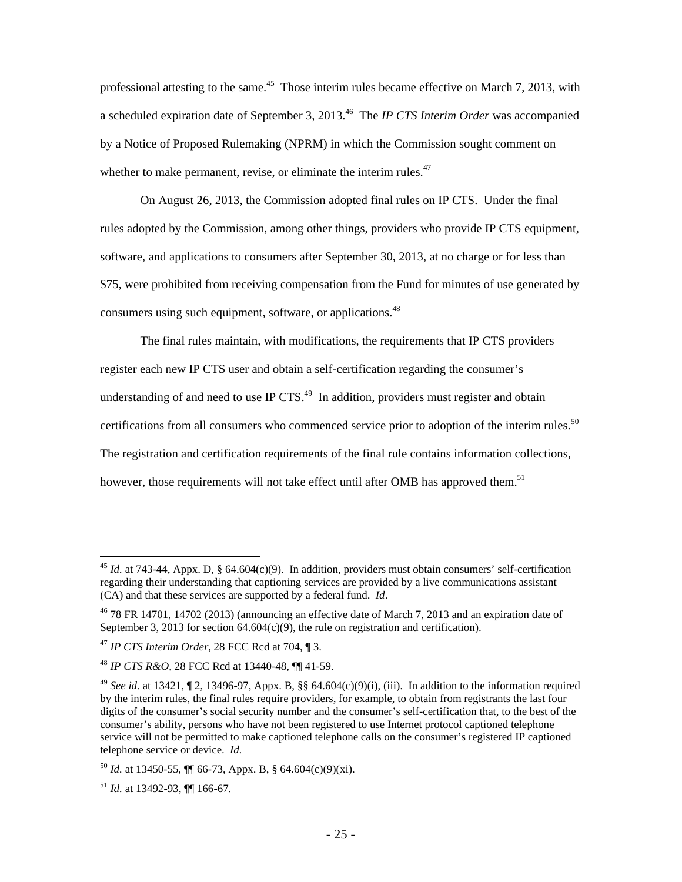professional attesting to the same.<sup>45</sup> Those interim rules became effective on March 7, 2013, with a scheduled expiration date of September 3, 2013.46 The *IP CTS Interim Order* was accompanied by a Notice of Proposed Rulemaking (NPRM) in which the Commission sought comment on whether to make permanent, revise, or eliminate the interim rules. $47$ 

On August 26, 2013, the Commission adopted final rules on IP CTS. Under the final rules adopted by the Commission, among other things, providers who provide IP CTS equipment, software, and applications to consumers after September 30, 2013, at no charge or for less than \$75, were prohibited from receiving compensation from the Fund for minutes of use generated by consumers using such equipment, software, or applications.<sup>48</sup>

The final rules maintain, with modifications, the requirements that IP CTS providers register each new IP CTS user and obtain a self-certification regarding the consumer's understanding of and need to use IP  $CTS<sup>49</sup>$ . In addition, providers must register and obtain certifications from all consumers who commenced service prior to adoption of the interim rules.<sup>50</sup> The registration and certification requirements of the final rule contains information collections, however, those requirements will not take effect until after OMB has approved them.<sup>51</sup>

<sup>45</sup> *Id.* at 743-44, Appx. D, § 64.604(c)(9). In addition, providers must obtain consumers' self-certification regarding their understanding that captioning services are provided by a live communications assistant (CA) and that these services are supported by a federal fund. *Id*.

 $46$  78 FR 14701, 14702 (2013) (announcing an effective date of March 7, 2013 and an expiration date of September 3, 2013 for section  $64.604(c)(9)$ , the rule on registration and certification).

<sup>47</sup> *IP CTS Interim Order*, 28 FCC Rcd at 704, ¶ 3.

<sup>48</sup> *IP CTS R&O*, 28 FCC Rcd at 13440-48, ¶¶ 41-59.

<sup>&</sup>lt;sup>49</sup> *See id.* at 13421,  $\P$  2, 13496-97, Appx. B, §§ 64.604(c)(9)(i), (iii). In addition to the information required by the interim rules, the final rules require providers, for example, to obtain from registrants the last four digits of the consumer's social security number and the consumer's self-certification that, to the best of the consumer's ability, persons who have not been registered to use Internet protocol captioned telephone service will not be permitted to make captioned telephone calls on the consumer's registered IP captioned telephone service or device. *Id.*

 $^{50}$  *Id.* at 13450-55,  $\P\P$  66-73, Appx. B, § 64.604(c)(9)(xi).

<sup>51</sup> *Id.* at 13492-93, ¶¶ 166-67*.*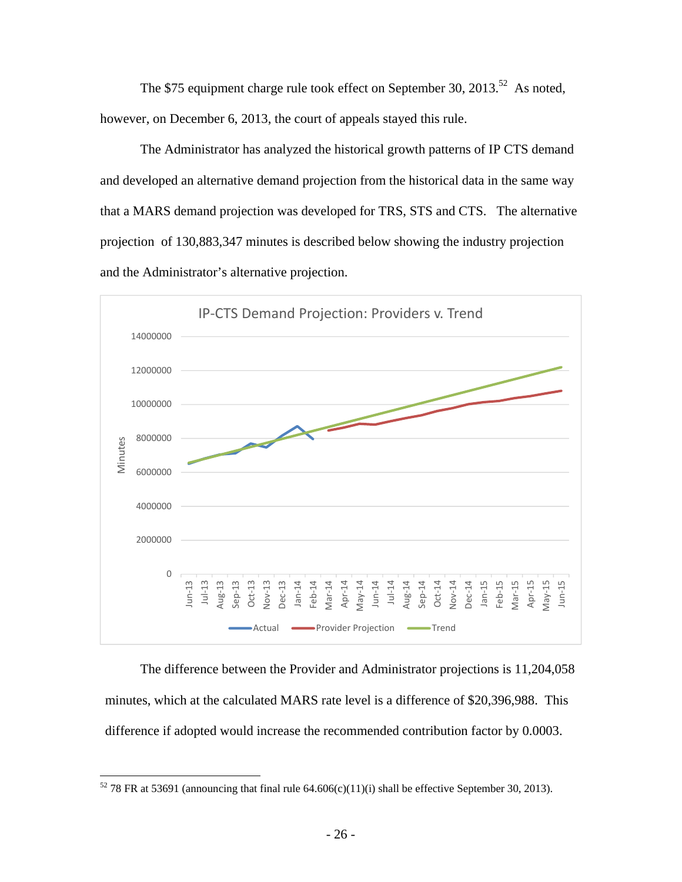The \$75 equipment charge rule took effect on September 30, 2013.<sup>52</sup> As noted, however, on December 6, 2013, the court of appeals stayed this rule.

The Administrator has analyzed the historical growth patterns of IP CTS demand and developed an alternative demand projection from the historical data in the same way that a MARS demand projection was developed for TRS, STS and CTS. The alternative projection of 130,883,347 minutes is described below showing the industry projection and the Administrator's alternative projection.



The difference between the Provider and Administrator projections is 11,204,058 minutes, which at the calculated MARS rate level is a difference of \$20,396,988. This difference if adopted would increase the recommended contribution factor by 0.0003.

 $52$  78 FR at 53691 (announcing that final rule 64.606(c)(11)(i) shall be effective September 30, 2013).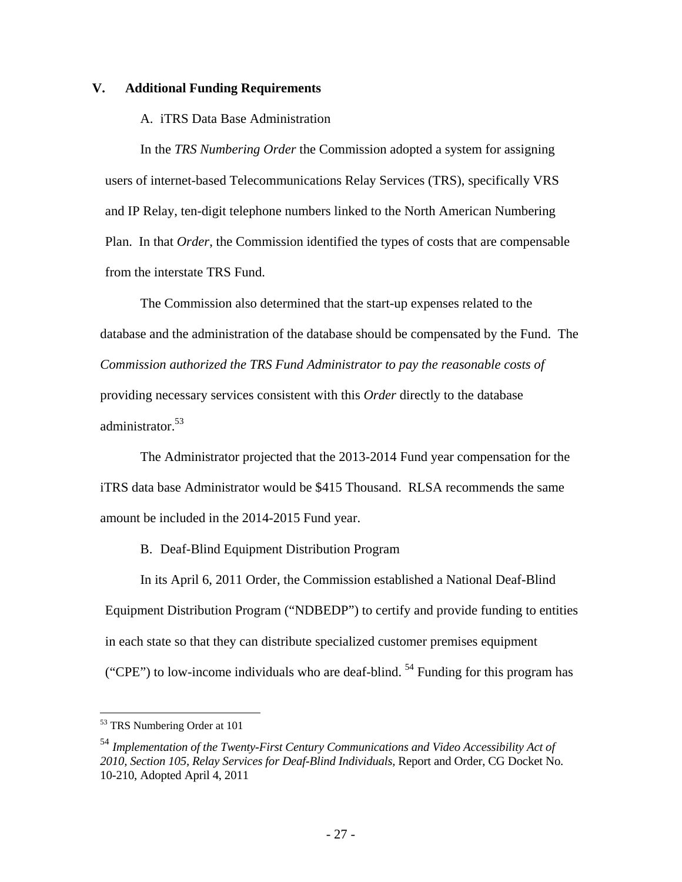#### **V. Additional Funding Requirements**

A. iTRS Data Base Administration

In the *TRS Numbering Order* the Commission adopted a system for assigning users of internet-based Telecommunications Relay Services (TRS), specifically VRS and IP Relay, ten-digit telephone numbers linked to the North American Numbering Plan. In that *Order*, the Commission identified the types of costs that are compensable from the interstate TRS Fund.

The Commission also determined that the start-up expenses related to the database and the administration of the database should be compensated by the Fund. The *Commission authorized the TRS Fund Administrator to pay the reasonable costs of* providing necessary services consistent with this *Order* directly to the database administrator.<sup>53</sup>

The Administrator projected that the 2013-2014 Fund year compensation for the iTRS data base Administrator would be \$415 Thousand. RLSA recommends the same amount be included in the 2014-2015 Fund year.

B. Deaf-Blind Equipment Distribution Program

In its April 6, 2011 Order, the Commission established a National Deaf-Blind Equipment Distribution Program ("NDBEDP") to certify and provide funding to entities in each state so that they can distribute specialized customer premises equipment ("CPE") to low-income individuals who are deaf-blind.  $54$  Funding for this program has

<sup>53</sup> TRS Numbering Order at 101

<sup>54</sup> *Implementation of the Twenty-First Century Communications and Video Accessibility Act of 2010, Section 105, Relay Services for Deaf-Blind Individuals,* Report and Order, CG Docket No. 10-210, Adopted April 4, 2011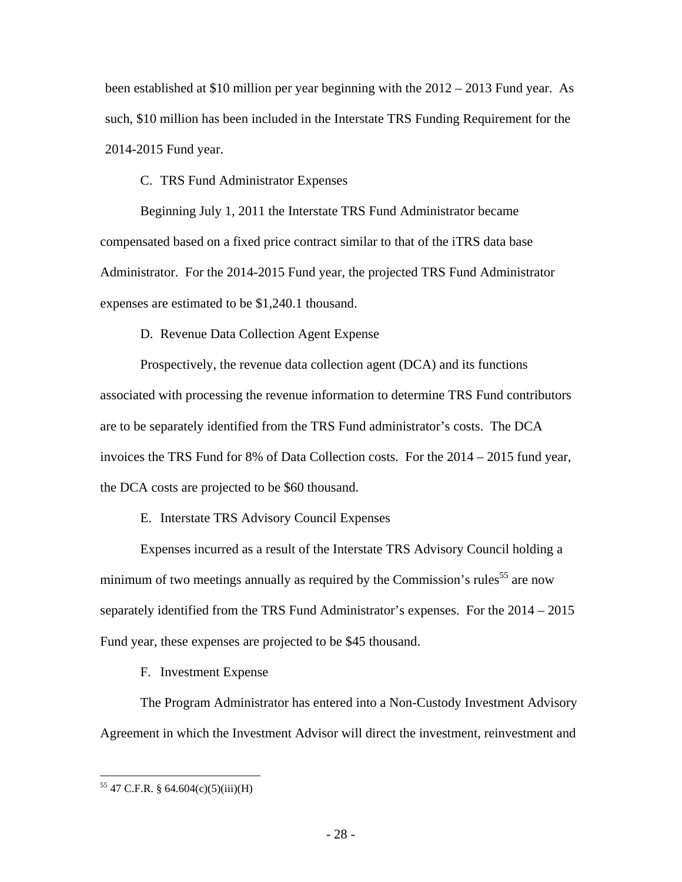been established at \$10 million per year beginning with the 2012 – 2013 Fund year. As such, \$10 million has been included in the Interstate TRS Funding Requirement for the 2014-2015 Fund year.

C. TRS Fund Administrator Expenses

Beginning July 1, 2011 the Interstate TRS Fund Administrator became compensated based on a fixed price contract similar to that of the iTRS data base Administrator. For the 2014-2015 Fund year, the projected TRS Fund Administrator expenses are estimated to be \$1,240.1 thousand.

D. Revenue Data Collection Agent Expense

Prospectively, the revenue data collection agent (DCA) and its functions associated with processing the revenue information to determine TRS Fund contributors are to be separately identified from the TRS Fund administrator's costs. The DCA invoices the TRS Fund for 8% of Data Collection costs. For the 2014 – 2015 fund year, the DCA costs are projected to be \$60 thousand.

E. Interstate TRS Advisory Council Expenses

Expenses incurred as a result of the Interstate TRS Advisory Council holding a minimum of two meetings annually as required by the Commission's rules<sup>55</sup> are now separately identified from the TRS Fund Administrator's expenses. For the 2014 – 2015 Fund year, these expenses are projected to be \$45 thousand.

F. Investment Expense

The Program Administrator has entered into a Non-Custody Investment Advisory Agreement in which the Investment Advisor will direct the investment, reinvestment and

 $55$  47 C.F.R. § 64.604(c)(5)(iii)(H)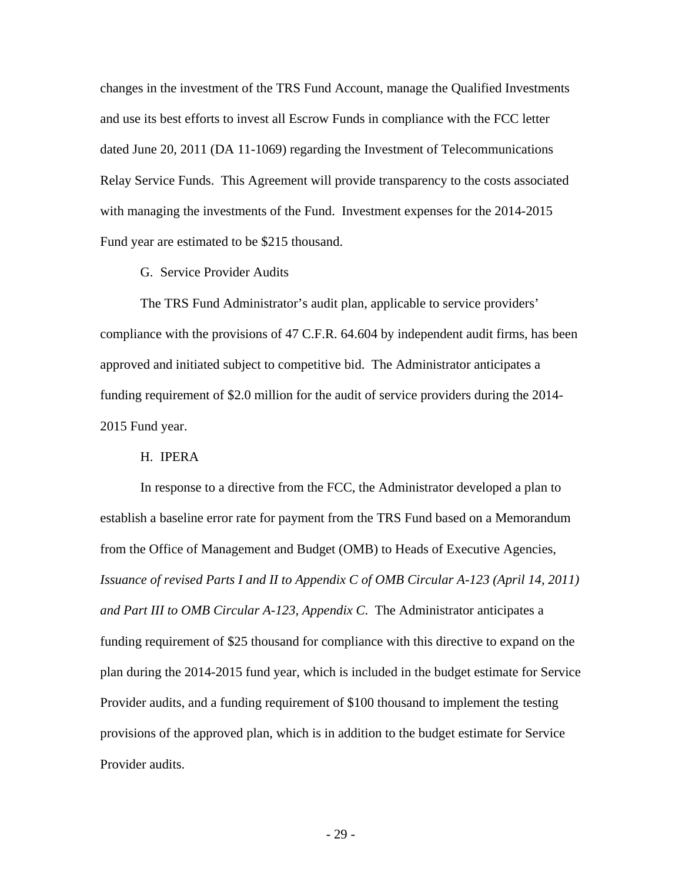changes in the investment of the TRS Fund Account, manage the Qualified Investments and use its best efforts to invest all Escrow Funds in compliance with the FCC letter dated June 20, 2011 (DA 11-1069) regarding the Investment of Telecommunications Relay Service Funds. This Agreement will provide transparency to the costs associated with managing the investments of the Fund. Investment expenses for the 2014-2015 Fund year are estimated to be \$215 thousand.

G. Service Provider Audits

The TRS Fund Administrator's audit plan, applicable to service providers' compliance with the provisions of 47 C.F.R. 64.604 by independent audit firms, has been approved and initiated subject to competitive bid. The Administrator anticipates a funding requirement of \$2.0 million for the audit of service providers during the 2014- 2015 Fund year.

#### H. IPERA

In response to a directive from the FCC, the Administrator developed a plan to establish a baseline error rate for payment from the TRS Fund based on a Memorandum from the Office of Management and Budget (OMB) to Heads of Executive Agencies, *Issuance of revised Parts I and II to Appendix C of OMB Circular A-123 (April 14, 2011) and Part III to OMB Circular A-123, Appendix C*. The Administrator anticipates a funding requirement of \$25 thousand for compliance with this directive to expand on the plan during the 2014-2015 fund year, which is included in the budget estimate for Service Provider audits, and a funding requirement of \$100 thousand to implement the testing provisions of the approved plan, which is in addition to the budget estimate for Service Provider audits.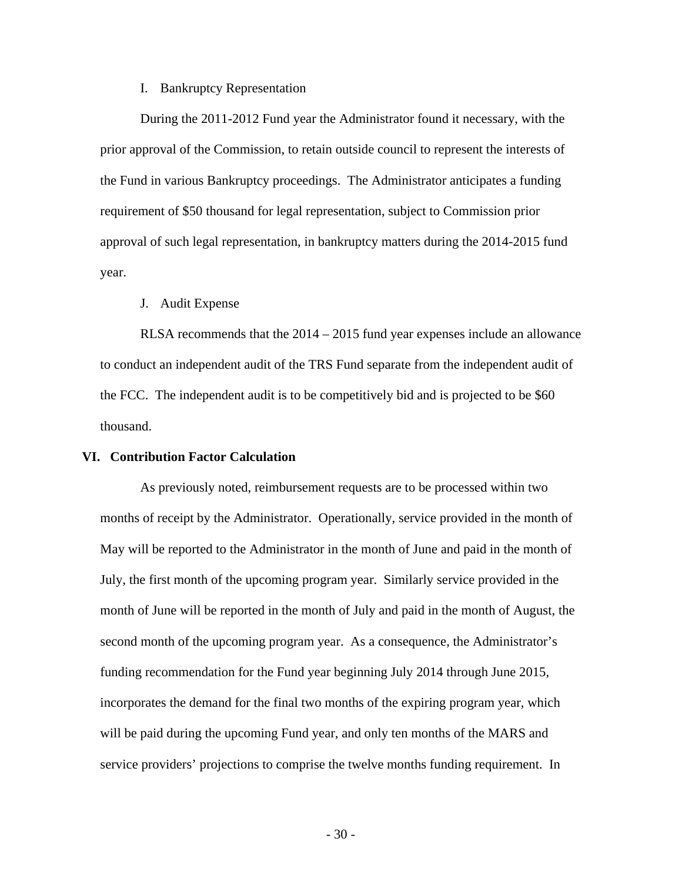#### I. Bankruptcy Representation

During the 2011-2012 Fund year the Administrator found it necessary, with the prior approval of the Commission, to retain outside council to represent the interests of the Fund in various Bankruptcy proceedings. The Administrator anticipates a funding requirement of \$50 thousand for legal representation, subject to Commission prior approval of such legal representation, in bankruptcy matters during the 2014-2015 fund year.

#### J. Audit Expense

RLSA recommends that the 2014 – 2015 fund year expenses include an allowance to conduct an independent audit of the TRS Fund separate from the independent audit of the FCC. The independent audit is to be competitively bid and is projected to be \$60 thousand.

#### **VI. Contribution Factor Calculation**

As previously noted, reimbursement requests are to be processed within two months of receipt by the Administrator. Operationally, service provided in the month of May will be reported to the Administrator in the month of June and paid in the month of July, the first month of the upcoming program year. Similarly service provided in the month of June will be reported in the month of July and paid in the month of August, the second month of the upcoming program year. As a consequence, the Administrator's funding recommendation for the Fund year beginning July 2014 through June 2015, incorporates the demand for the final two months of the expiring program year, which will be paid during the upcoming Fund year, and only ten months of the MARS and service providers' projections to comprise the twelve months funding requirement. In

- 30 -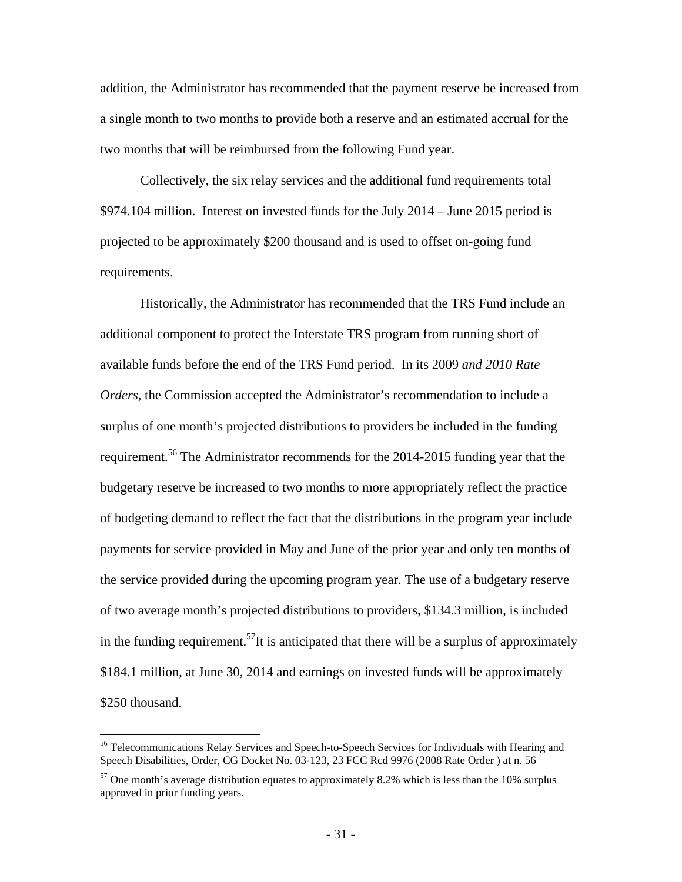addition, the Administrator has recommended that the payment reserve be increased from a single month to two months to provide both a reserve and an estimated accrual for the two months that will be reimbursed from the following Fund year.

Collectively, the six relay services and the additional fund requirements total \$974.104 million. Interest on invested funds for the July 2014 – June 2015 period is projected to be approximately \$200 thousand and is used to offset on-going fund requirements.

Historically, the Administrator has recommended that the TRS Fund include an additional component to protect the Interstate TRS program from running short of available funds before the end of the TRS Fund period. In its 2009 *and 2010 Rate Orders*, the Commission accepted the Administrator's recommendation to include a surplus of one month's projected distributions to providers be included in the funding requirement.56 The Administrator recommends for the 2014-2015 funding year that the budgetary reserve be increased to two months to more appropriately reflect the practice of budgeting demand to reflect the fact that the distributions in the program year include payments for service provided in May and June of the prior year and only ten months of the service provided during the upcoming program year. The use of a budgetary reserve of two average month's projected distributions to providers, \$134.3 million, is included in the funding requirement.<sup>57</sup>It is anticipated that there will be a surplus of approximately \$184.1 million, at June 30, 2014 and earnings on invested funds will be approximately \$250 thousand.

<sup>&</sup>lt;sup>56</sup> Telecommunications Relay Services and Speech-to-Speech Services for Individuals with Hearing and Speech Disabilities, Order, CG Docket No. 03-123, 23 FCC Rcd 9976 (2008 Rate Order ) at n. 56

 $57$  One month's average distribution equates to approximately 8.2% which is less than the 10% surplus approved in prior funding years.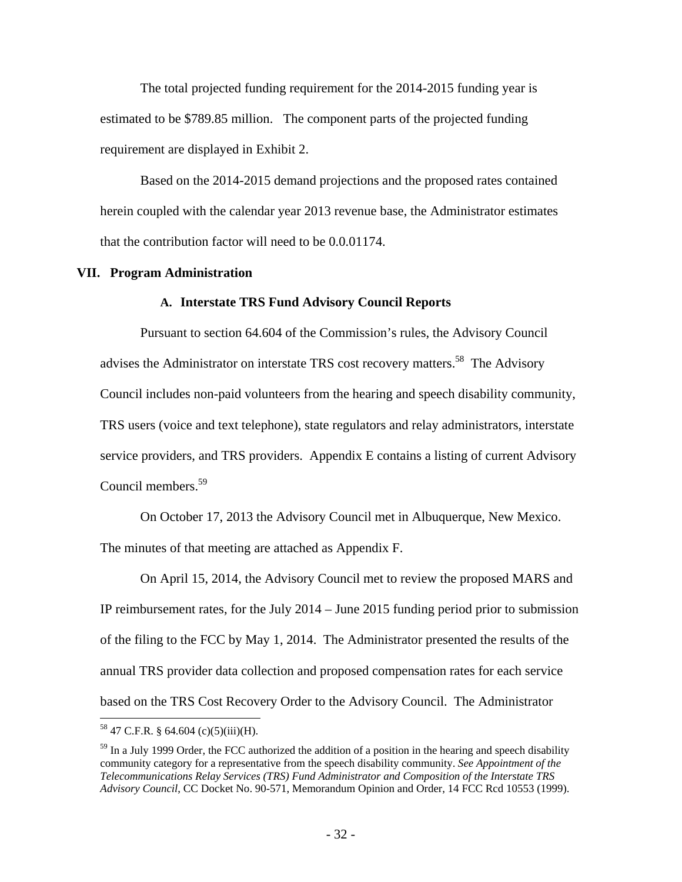The total projected funding requirement for the 2014-2015 funding year is estimated to be \$789.85 million. The component parts of the projected funding requirement are displayed in Exhibit 2.

Based on the 2014-2015 demand projections and the proposed rates contained herein coupled with the calendar year 2013 revenue base, the Administrator estimates that the contribution factor will need to be 0.0.01174.

#### **VII. Program Administration**

#### **A. Interstate TRS Fund Advisory Council Reports**

Pursuant to section 64.604 of the Commission's rules, the Advisory Council advises the Administrator on interstate TRS cost recovery matters.<sup>58</sup> The Advisory Council includes non-paid volunteers from the hearing and speech disability community, TRS users (voice and text telephone), state regulators and relay administrators, interstate service providers, and TRS providers. Appendix E contains a listing of current Advisory Council members.<sup>59</sup>

On October 17, 2013 the Advisory Council met in Albuquerque, New Mexico.

The minutes of that meeting are attached as Appendix F.

On April 15, 2014, the Advisory Council met to review the proposed MARS and IP reimbursement rates, for the July 2014 – June 2015 funding period prior to submission of the filing to the FCC by May 1, 2014. The Administrator presented the results of the annual TRS provider data collection and proposed compensation rates for each service based on the TRS Cost Recovery Order to the Advisory Council. The Administrator

 $58$  47 C.F.R. § 64.604 (c)(5)(iii)(H).

 $59$  In a July 1999 Order, the FCC authorized the addition of a position in the hearing and speech disability community category for a representative from the speech disability community. *See Appointment of the Telecommunications Relay Services (TRS) Fund Administrator and Composition of the Interstate TRS Advisory Council*, CC Docket No. 90-571, Memorandum Opinion and Order, 14 FCC Rcd 10553 (1999).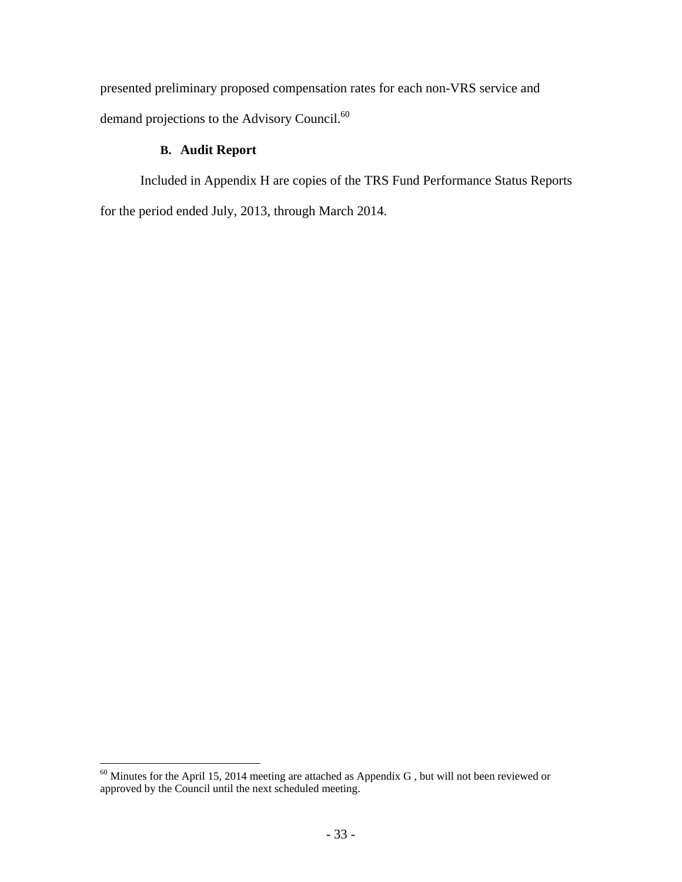presented preliminary proposed compensation rates for each non-VRS service and demand projections to the Advisory Council.<sup>60</sup>

## **B. Audit Report**

Included in Appendix H are copies of the TRS Fund Performance Status Reports for the period ended July, 2013, through March 2014.

 $60$  Minutes for the April 15, 2014 meeting are attached as Appendix G, but will not been reviewed or approved by the Council until the next scheduled meeting.